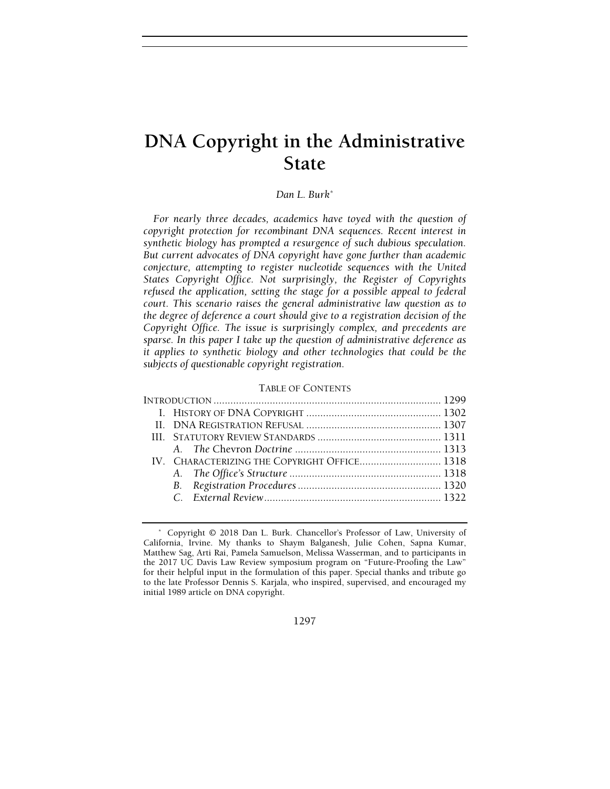# DNA Copyright in the Administrative State

# Dan L. Burk\*

For nearly three decades, academics have toyed with the question of copyright protection for recombinant DNA sequences. Recent interest in synthetic biology has prompted a resurgence of such dubious speculation. But current advocates of DNA copyright have gone further than academic conjecture, attempting to register nucleotide sequences with the United States Copyright Office. Not surprisingly, the Register of Copyrights refused the application, setting the stage for a possible appeal to federal court. This scenario raises the general administrative law question as to the degree of deference a court should give to a registration decision of the Copyright Office. The issue is surprisingly complex, and precedents are sparse. In this paper I take up the question of administrative deference as it applies to synthetic biology and other technologies that could be the subjects of questionable copyright registration.

#### TABLE OF CONTENTS

1297

 <sup>\*</sup> Copyright © 2018 Dan L. Burk. Chancellor's Professor of Law, University of California, Irvine. My thanks to Shaym Balganesh, Julie Cohen, Sapna Kumar, Matthew Sag, Arti Rai, Pamela Samuelson, Melissa Wasserman, and to participants in the 2017 UC Davis Law Review symposium program on "Future-Proofing the Law" for their helpful input in the formulation of this paper. Special thanks and tribute go to the late Professor Dennis S. Karjala, who inspired, supervised, and encouraged my initial 1989 article on DNA copyright.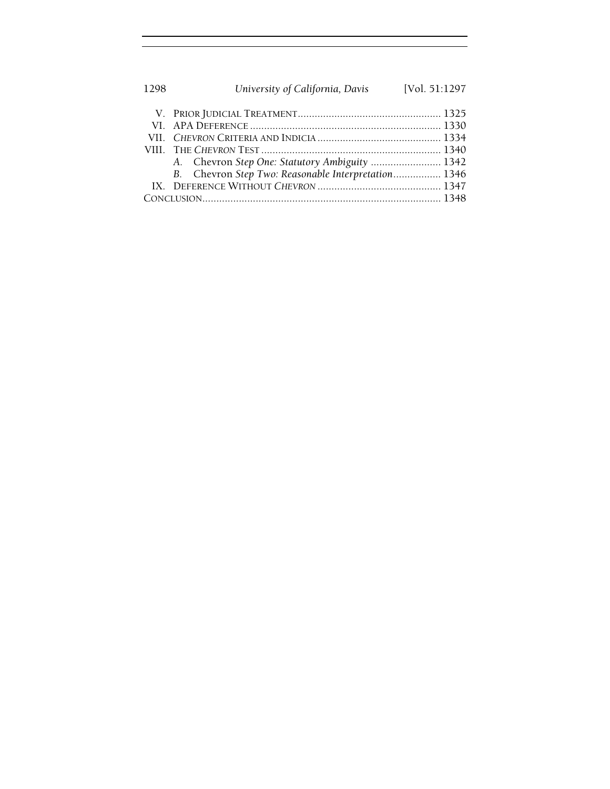| 1298 | University of California, Davis                     | [Vol. 51:1297 |
|------|-----------------------------------------------------|---------------|
|      |                                                     |               |
|      |                                                     |               |
|      |                                                     |               |
|      |                                                     |               |
|      | A. Chevron Step One: Statutory Ambiguity  1342      |               |
|      | B. Chevron Step Two: Reasonable Interpretation 1346 |               |
|      |                                                     |               |
|      |                                                     |               |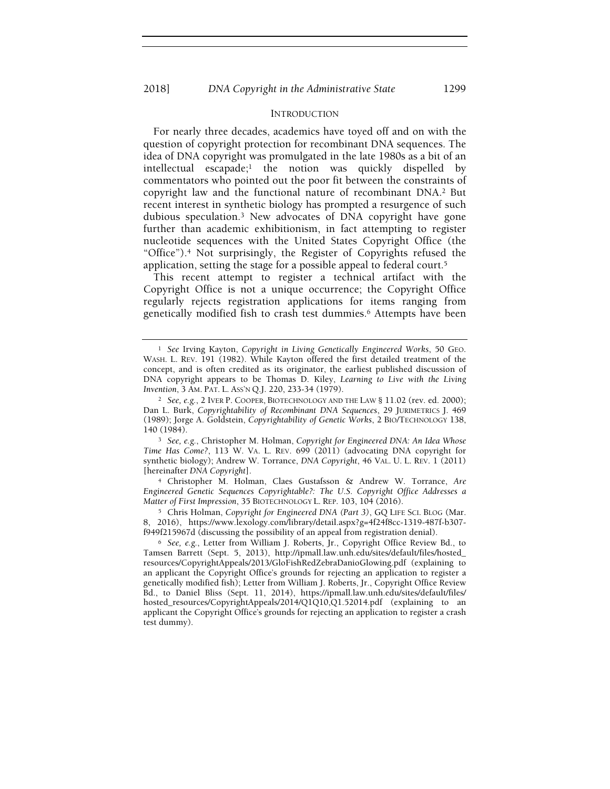## INTRODUCTION

For nearly three decades, academics have toyed off and on with the question of copyright protection for recombinant DNA sequences. The idea of DNA copyright was promulgated in the late 1980s as a bit of an  $intellectual$  escapade;<sup>1</sup> the notion was quickly dispelled by commentators who pointed out the poor fit between the constraints of copyright law and the functional nature of recombinant DNA.2 But recent interest in synthetic biology has prompted a resurgence of such dubious speculation.3 New advocates of DNA copyright have gone further than academic exhibitionism, in fact attempting to register nucleotide sequences with the United States Copyright Office (the "Office").4 Not surprisingly, the Register of Copyrights refused the application, setting the stage for a possible appeal to federal court.<sup>5</sup>

This recent attempt to register a technical artifact with the Copyright Office is not a unique occurrence; the Copyright Office regularly rejects registration applications for items ranging from genetically modified fish to crash test dummies.6 Attempts have been

<sup>3</sup> See, e.g., Christopher M. Holman, Copyright for Engineered DNA: An Idea Whose Time Has Come?, 113 W. VA. L. REV. 699 (2011) (advocating DNA copyright for synthetic biology); Andrew W. Torrance, DNA Copyright, 46 VAL. U. L. REV. 1 (2011) [hereinafter DNA Copyright].

<sup>4</sup> Christopher M. Holman, Claes Gustafsson & Andrew W. Torrance, Are Engineered Genetic Sequences Copyrightable?: The U.S. Copyright Office Addresses a Matter of First Impression, 35 BIOTECHNOLOGY L. REP. 103, 104 (2016).

<sup>5</sup> Chris Holman, Copyright for Engineered DNA (Part 3), GQ LIFE SCI. BLOG (Mar. 8, 2016), https://www.lexology.com/library/detail.aspx?g=4f24f8cc-1319-487f-b307 f949f215967d (discussing the possibility of an appeal from registration denial).

<sup>1</sup> See Irving Kayton, Copyright in Living Genetically Engineered Works, 50 GEO. WASH. L. REV. 191 (1982). While Kayton offered the first detailed treatment of the concept, and is often credited as its originator, the earliest published discussion of DNA copyright appears to be Thomas D. Kiley, Learning to Live with the Living Invention, 3 AM. PAT. L. ASS'N Q.J. 220, 233-34 (1979).

<sup>&</sup>lt;sup>2</sup> See, e.g., 2 IVER P. COOPER, BIOTECHNOLOGY AND THE LAW § 11.02 (rev. ed. 2000); Dan L. Burk, Copyrightability of Recombinant DNA Sequences, 29 JURIMETRICS J. 469 (1989); Jorge A. Goldstein, Copyrightability of Genetic Works, 2 BIO/TECHNOLOGY 138, 140 (1984).

<sup>6</sup> See, e.g., Letter from William J. Roberts, Jr., Copyright Office Review Bd., to Tamsen Barrett (Sept. 5, 2013), http://ipmall.law.unh.edu/sites/default/files/hosted\_ resources/CopyrightAppeals/2013/GloFishRedZebraDanioGlowing.pdf (explaining to an applicant the Copyright Office's grounds for rejecting an application to register a genetically modified fish); Letter from William J. Roberts, Jr., Copyright Office Review Bd., to Daniel Bliss (Sept. 11, 2014), https://ipmall.law.unh.edu/sites/default/files/ hosted\_resources/CopyrightAppeals/2014/Q1Q10,Q1.52014.pdf (explaining to an applicant the Copyright Office's grounds for rejecting an application to register a crash test dummy).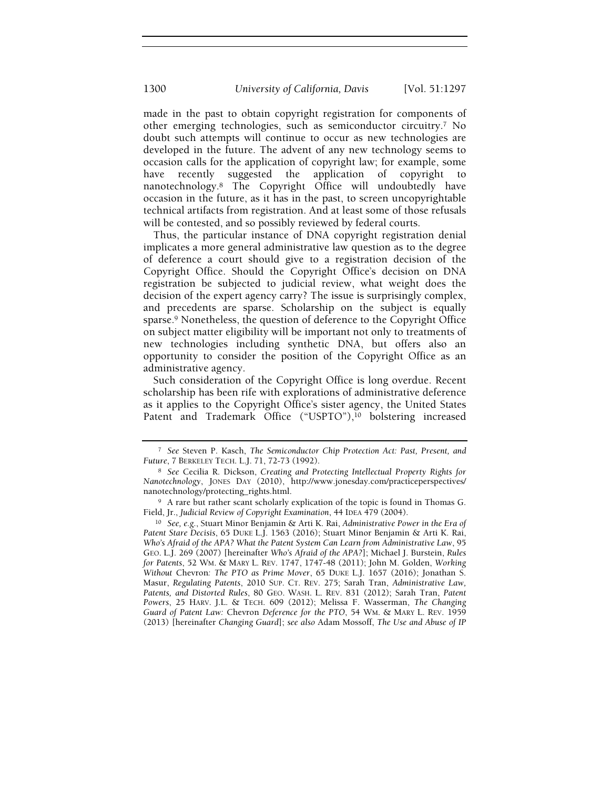made in the past to obtain copyright registration for components of other emerging technologies, such as semiconductor circuitry.7 No doubt such attempts will continue to occur as new technologies are developed in the future. The advent of any new technology seems to occasion calls for the application of copyright law; for example, some have recently suggested the application of copyright to nanotechnology.8 The Copyright Office will undoubtedly have occasion in the future, as it has in the past, to screen uncopyrightable technical artifacts from registration. And at least some of those refusals will be contested, and so possibly reviewed by federal courts.

Thus, the particular instance of DNA copyright registration denial implicates a more general administrative law question as to the degree of deference a court should give to a registration decision of the Copyright Office. Should the Copyright Office's decision on DNA registration be subjected to judicial review, what weight does the decision of the expert agency carry? The issue is surprisingly complex, and precedents are sparse. Scholarship on the subject is equally sparse.9 Nonetheless, the question of deference to the Copyright Office on subject matter eligibility will be important not only to treatments of new technologies including synthetic DNA, but offers also an opportunity to consider the position of the Copyright Office as an administrative agency.

Such consideration of the Copyright Office is long overdue. Recent scholarship has been rife with explorations of administrative deference as it applies to the Copyright Office's sister agency, the United States Patent and Trademark Office ("USPTO"),<sup>10</sup> bolstering increased

<sup>7</sup> See Steven P. Kasch, The Semiconductor Chip Protection Act: Past, Present, and Future, 7 BERKELEY TECH. L.J. 71, 72-73 (1992).

<sup>8</sup> See Cecilia R. Dickson, Creating and Protecting Intellectual Property Rights for Nanotechnology, JONES DAY (2010), http://www.jonesday.com/practiceperspectives/ nanotechnology/protecting\_rights.html.

<sup>9</sup> A rare but rather scant scholarly explication of the topic is found in Thomas G. Field, Jr., Judicial Review of Copyright Examination, 44 IDEA 479 (2004).

<sup>10</sup> See, e.g., Stuart Minor Benjamin & Arti K. Rai, Administrative Power in the Era of Patent Stare Decisis, 65 DUKE L.J. 1563 (2016); Stuart Minor Benjamin & Arti K. Rai, Who's Afraid of the APA? What the Patent System Can Learn from Administrative Law, 95 GEO. L.J. 269 (2007) [hereinafter Who's Afraid of the APA?]; Michael J. Burstein, Rules for Patents, 52 WM. & MARY L. REV. 1747, 1747-48 (2011); John M. Golden, Working Without Chevron: The PTO as Prime Mover, 65 DUKE L.J. 1657 (2016); Jonathan S. Masur, Regulating Patents, 2010 SUP. CT. REV. 275; Sarah Tran, Administrative Law, Patents, and Distorted Rules, 80 GEO. WASH. L. REV. 831 (2012); Sarah Tran, Patent Powers, 25 HARV. J.L. & TECH. 609 (2012); Melissa F. Wasserman, The Changing Guard of Patent Law: Chevron Deference for the PTO, 54 WM. & MARY L. REV. 1959 (2013) [hereinafter Changing Guard]; see also Adam Mossoff, The Use and Abuse of IP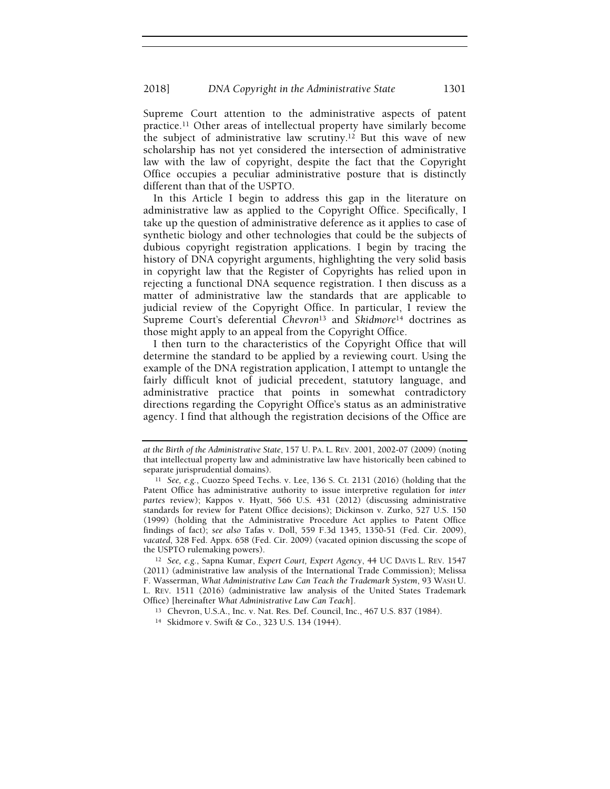Supreme Court attention to the administrative aspects of patent practice.11 Other areas of intellectual property have similarly become the subject of administrative law scrutiny.12 But this wave of new scholarship has not yet considered the intersection of administrative law with the law of copyright, despite the fact that the Copyright Office occupies a peculiar administrative posture that is distinctly different than that of the USPTO.

In this Article I begin to address this gap in the literature on administrative law as applied to the Copyright Office. Specifically, I take up the question of administrative deference as it applies to case of synthetic biology and other technologies that could be the subjects of dubious copyright registration applications. I begin by tracing the history of DNA copyright arguments, highlighting the very solid basis in copyright law that the Register of Copyrights has relied upon in rejecting a functional DNA sequence registration. I then discuss as a matter of administrative law the standards that are applicable to judicial review of the Copyright Office. In particular, I review the Supreme Court's deferential Chevron<sup>13</sup> and Skidmore<sup>14</sup> doctrines as those might apply to an appeal from the Copyright Office.

I then turn to the characteristics of the Copyright Office that will determine the standard to be applied by a reviewing court. Using the example of the DNA registration application, I attempt to untangle the fairly difficult knot of judicial precedent, statutory language, and administrative practice that points in somewhat contradictory directions regarding the Copyright Office's status as an administrative agency. I find that although the registration decisions of the Office are

at the Birth of the Administrative State, 157 U. PA. L. REV. 2001, 2002-07 (2009) (noting that intellectual property law and administrative law have historically been cabined to separate jurisprudential domains).

<sup>11</sup> See, e.g., Cuozzo Speed Techs. v. Lee, 136 S. Ct. 2131 (2016) (holding that the Patent Office has administrative authority to issue interpretive regulation for inter partes review); Kappos v. Hyatt, 566 U.S. 431 (2012) (discussing administrative standards for review for Patent Office decisions); Dickinson v. Zurko, 527 U.S. 150 (1999) (holding that the Administrative Procedure Act applies to Patent Office findings of fact); see also Tafas v. Doll, 559 F.3d 1345, 1350-51 (Fed. Cir. 2009), vacated, 328 Fed. Appx. 658 (Fed. Cir. 2009) (vacated opinion discussing the scope of the USPTO rulemaking powers).

<sup>12</sup> See, e.g., Sapna Kumar, Expert Court, Expert Agency, 44 UC DAVIS L. REV. 1547 (2011) (administrative law analysis of the International Trade Commission); Melissa F. Wasserman, What Administrative Law Can Teach the Trademark System, 93 WASH U. L. REV. 1511 (2016) (administrative law analysis of the United States Trademark Office) [hereinafter What Administrative Law Can Teach].

<sup>13</sup> Chevron, U.S.A., Inc. v. Nat. Res. Def. Council, Inc., 467 U.S. 837 (1984).

<sup>14</sup> Skidmore v. Swift & Co., 323 U.S. 134 (1944).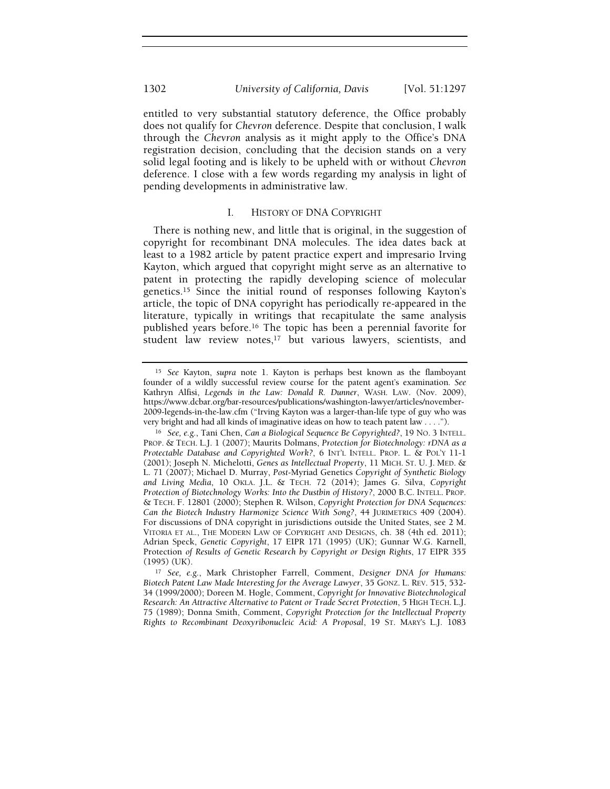entitled to very substantial statutory deference, the Office probably does not qualify for Chevron deference. Despite that conclusion, I walk through the Chevron analysis as it might apply to the Office's DNA registration decision, concluding that the decision stands on a very solid legal footing and is likely to be upheld with or without Chevron deference. I close with a few words regarding my analysis in light of pending developments in administrative law.

# I. HISTORY OF DNA COPYRIGHT

There is nothing new, and little that is original, in the suggestion of copyright for recombinant DNA molecules. The idea dates back at least to a 1982 article by patent practice expert and impresario Irving Kayton, which argued that copyright might serve as an alternative to patent in protecting the rapidly developing science of molecular genetics.15 Since the initial round of responses following Kayton's article, the topic of DNA copyright has periodically re-appeared in the literature, typically in writings that recapitulate the same analysis published years before.16 The topic has been a perennial favorite for student law review notes,<sup>17</sup> but various lawyers, scientists, and

<sup>15</sup> See Kayton, supra note 1. Kayton is perhaps best known as the flamboyant founder of a wildly successful review course for the patent agent's examination. See Kathryn Alfisi, Legends in the Law: Donald R. Dunner, WASH. LAW. (Nov. 2009), https://www.dcbar.org/bar-resources/publications/washington-lawyer/articles/november-2009-legends-in-the-law.cfm ("Irving Kayton was a larger-than-life type of guy who was very bright and had all kinds of imaginative ideas on how to teach patent law . . . .").

<sup>16</sup> See, e.g., Tani Chen, Can a Biological Sequence Be Copyrighted?, 19 NO. 3 INTELL. PROP. & TECH. L.J. 1 (2007); Maurits Dolmans, Protection for Biotechnology: rDNA as a Protectable Database and Copyrighted Work?, 6 INT'L INTELL. PROP. L. & POL'Y 11-1 (2001); Joseph N. Michelotti, Genes as Intellectual Property, 11 MICH. ST. U. J. MED. & L. 71 (2007); Michael D. Murray, Post-Myriad Genetics Copyright of Synthetic Biology and Living Media, 10 OKLA. J.L. & TECH. 72 (2014); James G. Silva, Copyright Protection of Biotechnology Works: Into the Dustbin of History?, 2000 B.C. INTELL. PROP. & TECH. F. 12801 (2000); Stephen R. Wilson, Copyright Protection for DNA Sequences: Can the Biotech Industry Harmonize Science With Song?, 44 JURIMETRICS 409 (2004). For discussions of DNA copyright in jurisdictions outside the United States, see 2 M. VITORIA ET AL., THE MODERN LAW OF COPYRIGHT AND DESIGNS, ch. 38 (4th ed. 2011); Adrian Speck, Genetic Copyright, 17 EIPR 171 (1995) (UK); Gunnar W.G. Karnell, Protection of Results of Genetic Research by Copyright or Design Rights, 17 EIPR 355 (1995) (UK).

<sup>17</sup> See, e.g., Mark Christopher Farrell, Comment, Designer DNA for Humans: Biotech Patent Law Made Interesting for the Average Lawyer, 35 GONZ. L. REV. 515, 532- 34 (1999/2000); Doreen M. Hogle, Comment, Copyright for Innovative Biotechnological Research: An Attractive Alternative to Patent or Trade Secret Protection, 5 HIGH TECH. L.J. 75 (1989); Donna Smith, Comment, Copyright Protection for the Intellectual Property Rights to Recombinant Deoxyribonucleic Acid: A Proposal, 19 ST. MARY'S L.J. 1083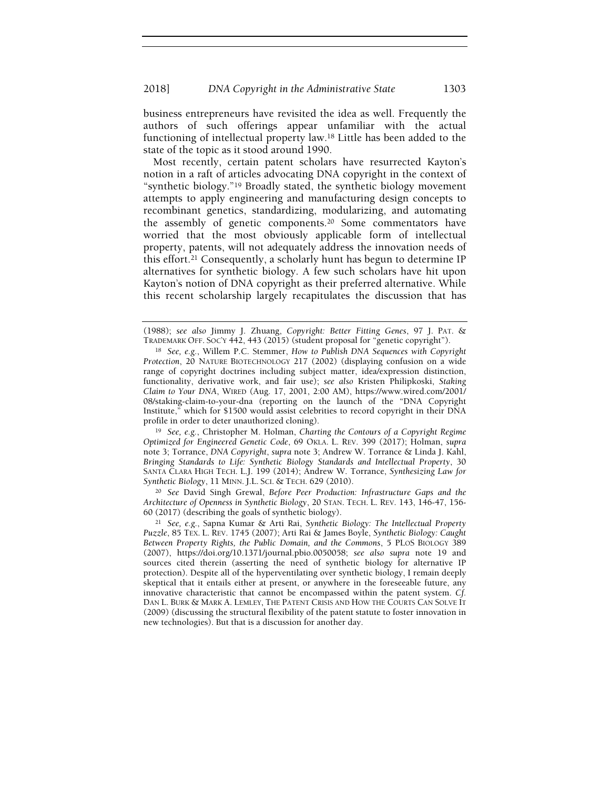business entrepreneurs have revisited the idea as well. Frequently the authors of such offerings appear unfamiliar with the actual functioning of intellectual property law.18 Little has been added to the state of the topic as it stood around 1990.

Most recently, certain patent scholars have resurrected Kayton's notion in a raft of articles advocating DNA copyright in the context of "synthetic biology."19 Broadly stated, the synthetic biology movement attempts to apply engineering and manufacturing design concepts to recombinant genetics, standardizing, modularizing, and automating the assembly of genetic components.20 Some commentators have worried that the most obviously applicable form of intellectual property, patents, will not adequately address the innovation needs of this effort.21 Consequently, a scholarly hunt has begun to determine IP alternatives for synthetic biology. A few such scholars have hit upon Kayton's notion of DNA copyright as their preferred alternative. While this recent scholarship largely recapitulates the discussion that has

<sup>19</sup> See, e.g., Christopher M. Holman, Charting the Contours of a Copyright Regime Optimized for Engineered Genetic Code, 69 OKLA. L. REV. 399 (2017); Holman, supra note 3; Torrance, DNA Copyright, supra note 3; Andrew W. Torrance & Linda J. Kahl, Bringing Standards to Life: Synthetic Biology Standards and Intellectual Property, 30 SANTA CLARA HIGH TECH. L.J. 199 (2014); Andrew W. Torrance, Synthesizing Law for Synthetic Biology, 11 MINN. J.L. SCI. & TECH. 629 (2010).

<sup>20</sup> See David Singh Grewal, Before Peer Production: Infrastructure Gaps and the Architecture of Openness in Synthetic Biology, 20 STAN. TECH. L. REV. 143, 146-47, 156- 60 (2017) (describing the goals of synthetic biology).

<sup>(1988);</sup> see also Jimmy J. Zhuang, Copyright: Better Fitting Genes, 97 J. PAT. & TRADEMARK OFF. SOC'Y 442, 443 (2015) (student proposal for "genetic copyright").

<sup>18</sup> See, e.g., Willem P.C. Stemmer, How to Publish DNA Sequences with Copyright Protection, 20 NATURE BIOTECHNOLOGY 217 (2002) (displaying confusion on a wide range of copyright doctrines including subject matter, idea/expression distinction, functionality, derivative work, and fair use); see also Kristen Philipkoski, Staking Claim to Your DNA, WIRED (Aug. 17, 2001, 2:00 AM), https://www.wired.com/2001/ 08/staking-claim-to-your-dna (reporting on the launch of the "DNA Copyright Institute," which for \$1500 would assist celebrities to record copyright in their DNA profile in order to deter unauthorized cloning).

<sup>21</sup> See, e.g., Sapna Kumar & Arti Rai, Synthetic Biology: The Intellectual Property Puzzle, 85 TEX. L. REV. 1745 (2007); Arti Rai & James Boyle, Synthetic Biology: Caught Between Property Rights, the Public Domain, and the Commons, 5 PLOS BIOLOGY 389 (2007), https://doi.org/10.1371/journal.pbio.0050058; see also supra note 19 and sources cited therein (asserting the need of synthetic biology for alternative IP protection). Despite all of the hyperventilating over synthetic biology, I remain deeply skeptical that it entails either at present, or anywhere in the foreseeable future, any innovative characteristic that cannot be encompassed within the patent system. Cf. DAN L. BURK & MARK A. LEMLEY, THE PATENT CRISIS AND HOW THE COURTS CAN SOLVE IT (2009) (discussing the structural flexibility of the patent statute to foster innovation in new technologies). But that is a discussion for another day.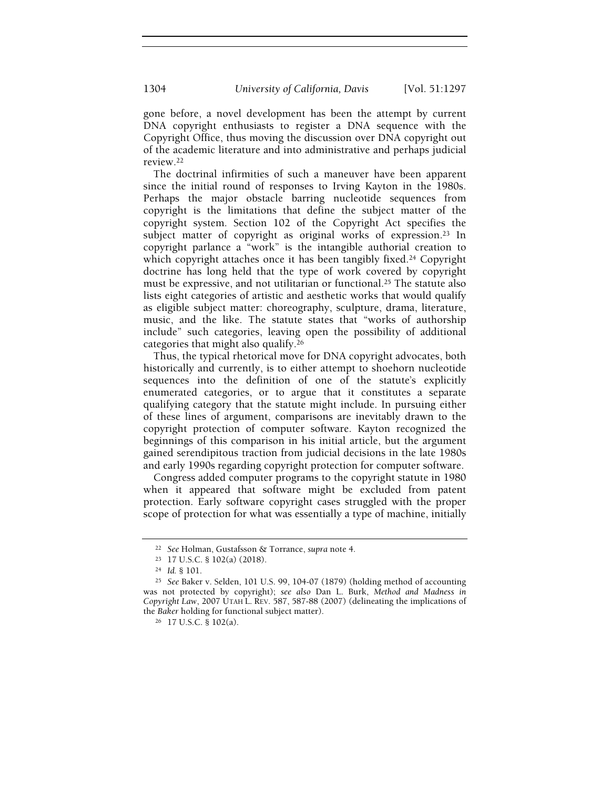gone before, a novel development has been the attempt by current DNA copyright enthusiasts to register a DNA sequence with the Copyright Office, thus moving the discussion over DNA copyright out of the academic literature and into administrative and perhaps judicial review.<sup>22</sup>

The doctrinal infirmities of such a maneuver have been apparent since the initial round of responses to Irving Kayton in the 1980s. Perhaps the major obstacle barring nucleotide sequences from copyright is the limitations that define the subject matter of the copyright system. Section 102 of the Copyright Act specifies the subject matter of copyright as original works of expression.<sup>23</sup> In copyright parlance a "work" is the intangible authorial creation to which copyright attaches once it has been tangibly fixed.<sup>24</sup> Copyright doctrine has long held that the type of work covered by copyright must be expressive, and not utilitarian or functional.25 The statute also lists eight categories of artistic and aesthetic works that would qualify as eligible subject matter: choreography, sculpture, drama, literature, music, and the like. The statute states that "works of authorship include" such categories, leaving open the possibility of additional categories that might also qualify.<sup>26</sup>

Thus, the typical rhetorical move for DNA copyright advocates, both historically and currently, is to either attempt to shoehorn nucleotide sequences into the definition of one of the statute's explicitly enumerated categories, or to argue that it constitutes a separate qualifying category that the statute might include. In pursuing either of these lines of argument, comparisons are inevitably drawn to the copyright protection of computer software. Kayton recognized the beginnings of this comparison in his initial article, but the argument gained serendipitous traction from judicial decisions in the late 1980s and early 1990s regarding copyright protection for computer software.

Congress added computer programs to the copyright statute in 1980 when it appeared that software might be excluded from patent protection. Early software copyright cases struggled with the proper scope of protection for what was essentially a type of machine, initially

<sup>22</sup> See Holman, Gustafsson & Torrance, supra note 4.

<sup>23</sup> 17 U.S.C. § 102(a) (2018).

<sup>24</sup> Id. § 101.

<sup>25</sup> See Baker v. Selden, 101 U.S. 99, 104-07 (1879) (holding method of accounting was not protected by copyright); see also Dan L. Burk, Method and Madness in Copyright Law, 2007 UTAH L. REV. 587, 587-88 (2007) (delineating the implications of the Baker holding for functional subject matter).

<sup>26</sup> 17 U.S.C. § 102(a).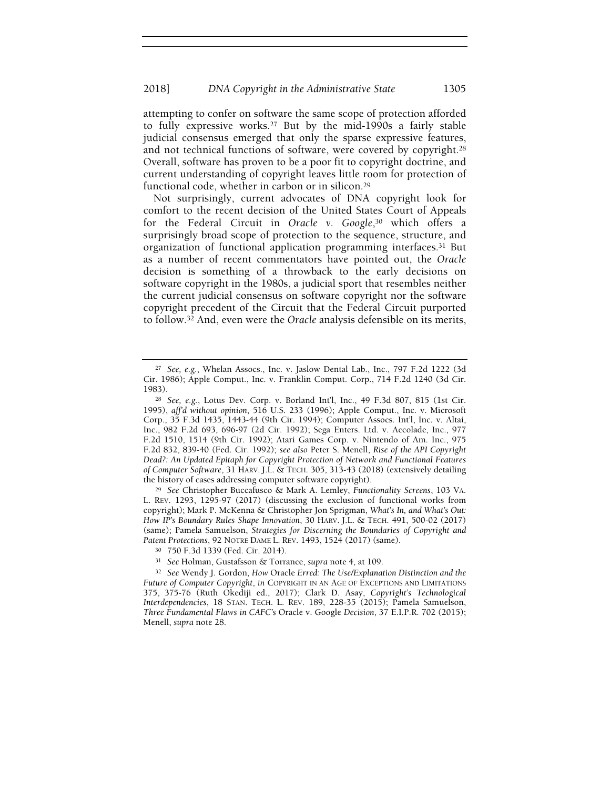attempting to confer on software the same scope of protection afforded to fully expressive works.27 But by the mid-1990s a fairly stable judicial consensus emerged that only the sparse expressive features, and not technical functions of software, were covered by copyright.<sup>28</sup> Overall, software has proven to be a poor fit to copyright doctrine, and current understanding of copyright leaves little room for protection of functional code, whether in carbon or in silicon.<sup>29</sup>

Not surprisingly, current advocates of DNA copyright look for comfort to the recent decision of the United States Court of Appeals for the Federal Circuit in Oracle v. Google,<sup>30</sup> which offers a surprisingly broad scope of protection to the sequence, structure, and organization of functional application programming interfaces.31 But as a number of recent commentators have pointed out, the Oracle decision is something of a throwback to the early decisions on software copyright in the 1980s, a judicial sport that resembles neither the current judicial consensus on software copyright nor the software copyright precedent of the Circuit that the Federal Circuit purported to follow.32 And, even were the Oracle analysis defensible on its merits,

<sup>29</sup> See Christopher Buccafusco & Mark A. Lemley, Functionality Screens, 103 VA. L. REV. 1293, 1295-97 (2017) (discussing the exclusion of functional works from copyright); Mark P. McKenna & Christopher Jon Sprigman, What's In, and What's Out: How IP's Boundary Rules Shape Innovation, 30 HARV. J.L. & TECH. 491, 500-02 (2017) (same); Pamela Samuelson, Strategies for Discerning the Boundaries of Copyright and Patent Protections, 92 NOTRE DAME L. REV. 1493, 1524 (2017) (same).

<sup>27</sup> See, e.g., Whelan Assocs., Inc. v. Jaslow Dental Lab., Inc., 797 F.2d 1222 (3d Cir. 1986); Apple Comput., Inc. v. Franklin Comput. Corp., 714 F.2d 1240 (3d Cir. 1983).

<sup>28</sup> See, e.g., Lotus Dev. Corp. v. Borland Int'l, Inc., 49 F.3d 807, 815 (1st Cir. 1995), aff'd without opinion, 516 U.S. 233 (1996); Apple Comput., Inc. v. Microsoft Corp., 35 F.3d 1435, 1443-44 (9th Cir. 1994); Computer Assocs. Int'l, Inc. v. Altai, Inc., 982 F.2d 693, 696-97 (2d Cir. 1992); Sega Enters. Ltd. v. Accolade, Inc., 977 F.2d 1510, 1514 (9th Cir. 1992); Atari Games Corp. v. Nintendo of Am. Inc., 975 F.2d 832, 839-40 (Fed. Cir. 1992); see also Peter S. Menell, Rise of the API Copyright Dead?: An Updated Epitaph for Copyright Protection of Network and Functional Features of Computer Software, 31 HARV. J.L. & TECH. 305, 313-43 (2018) (extensively detailing the history of cases addressing computer software copyright).

<sup>30</sup> 750 F.3d 1339 (Fed. Cir. 2014).

<sup>31</sup> See Holman, Gustafsson & Torrance, supra note 4, at 109.

<sup>&</sup>lt;sup>32</sup> See Wendy J. Gordon, How Oracle Erred: The Use/Explanation Distinction and the Future of Computer Copyright, in COPYRIGHT IN AN AGE OF EXCEPTIONS AND LIMITATIONS 375, 375-76 (Ruth Okediji ed., 2017); Clark D. Asay, Copyright's Technological Interdependencies, 18 STAN. TECH. L. REV. 189, 228-35 (2015); Pamela Samuelson, Three Fundamental Flaws in CAFC's Oracle v. Google Decision, 37 E.I.P.R. 702 (2015); Menell, supra note 28.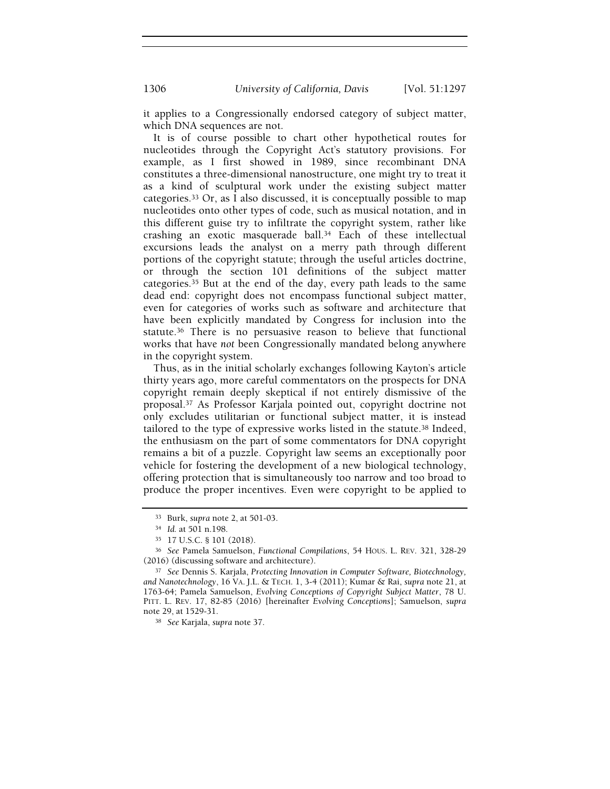it applies to a Congressionally endorsed category of subject matter, which DNA sequences are not.

It is of course possible to chart other hypothetical routes for nucleotides through the Copyright Act's statutory provisions. For example, as I first showed in 1989, since recombinant DNA constitutes a three-dimensional nanostructure, one might try to treat it as a kind of sculptural work under the existing subject matter categories.33 Or, as I also discussed, it is conceptually possible to map nucleotides onto other types of code, such as musical notation, and in this different guise try to infiltrate the copyright system, rather like crashing an exotic masquerade ball.34 Each of these intellectual excursions leads the analyst on a merry path through different portions of the copyright statute; through the useful articles doctrine, or through the section 101 definitions of the subject matter categories.35 But at the end of the day, every path leads to the same dead end: copyright does not encompass functional subject matter, even for categories of works such as software and architecture that have been explicitly mandated by Congress for inclusion into the statute.36 There is no persuasive reason to believe that functional works that have not been Congressionally mandated belong anywhere in the copyright system.

Thus, as in the initial scholarly exchanges following Kayton's article thirty years ago, more careful commentators on the prospects for DNA copyright remain deeply skeptical if not entirely dismissive of the proposal.37 As Professor Karjala pointed out, copyright doctrine not only excludes utilitarian or functional subject matter, it is instead tailored to the type of expressive works listed in the statute.<sup>38</sup> Indeed, the enthusiasm on the part of some commentators for DNA copyright remains a bit of a puzzle. Copyright law seems an exceptionally poor vehicle for fostering the development of a new biological technology, offering protection that is simultaneously too narrow and too broad to produce the proper incentives. Even were copyright to be applied to

<sup>33</sup> Burk, supra note 2, at 501-03.

<sup>34</sup> Id. at 501 n.198.

<sup>35</sup> 17 U.S.C. § 101 (2018).

<sup>36</sup> See Pamela Samuelson, Functional Compilations, 54 HOUS. L. REV. 321, 328-29 (2016) (discussing software and architecture).

<sup>37</sup> See Dennis S. Karjala, Protecting Innovation in Computer Software, Biotechnology, and Nanotechnology, 16 VA. J.L. & TECH. 1, 3-4 (2011); Kumar & Rai, supra note 21, at 1763-64; Pamela Samuelson, Evolving Conceptions of Copyright Subject Matter, 78 U. PITT. L. REV. 17, 82-85 (2016) [hereinafter Evolving Conceptions]; Samuelson, supra note 29, at 1529-31.

<sup>38</sup> See Karjala, supra note 37.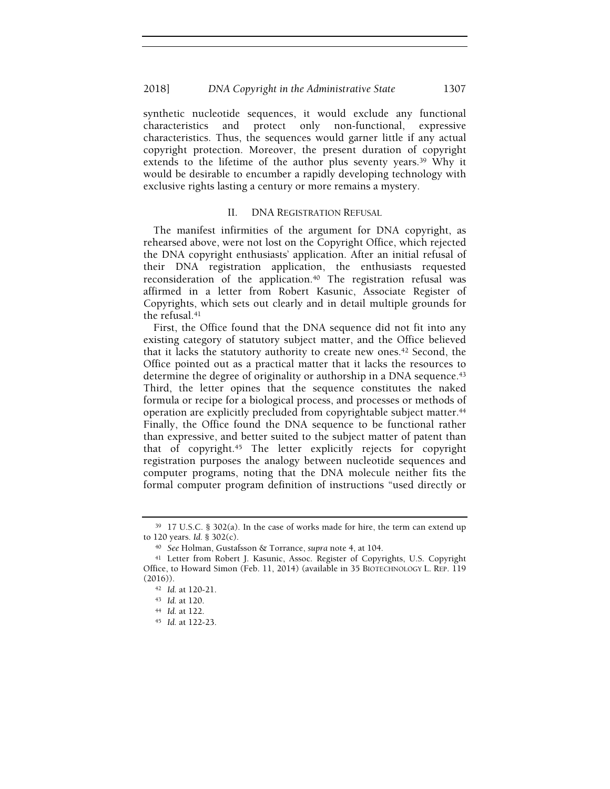#### 2018] DNA Copyright in the Administrative State 1307

synthetic nucleotide sequences, it would exclude any functional characteristics and protect only non-functional, expressive characteristics. Thus, the sequences would garner little if any actual copyright protection. Moreover, the present duration of copyright extends to the lifetime of the author plus seventy years.<sup>39</sup> Why it would be desirable to encumber a rapidly developing technology with exclusive rights lasting a century or more remains a mystery.

#### II. DNA REGISTRATION REFUSAL

The manifest infirmities of the argument for DNA copyright, as rehearsed above, were not lost on the Copyright Office, which rejected the DNA copyright enthusiasts' application. After an initial refusal of their DNA registration application, the enthusiasts requested reconsideration of the application.<sup>40</sup> The registration refusal was affirmed in a letter from Robert Kasunic, Associate Register of Copyrights, which sets out clearly and in detail multiple grounds for the refusal.<sup>41</sup>

First, the Office found that the DNA sequence did not fit into any existing category of statutory subject matter, and the Office believed that it lacks the statutory authority to create new ones.42 Second, the Office pointed out as a practical matter that it lacks the resources to determine the degree of originality or authorship in a DNA sequence.<sup>43</sup> Third, the letter opines that the sequence constitutes the naked formula or recipe for a biological process, and processes or methods of operation are explicitly precluded from copyrightable subject matter.<sup>44</sup> Finally, the Office found the DNA sequence to be functional rather than expressive, and better suited to the subject matter of patent than that of copyright.45 The letter explicitly rejects for copyright registration purposes the analogy between nucleotide sequences and computer programs, noting that the DNA molecule neither fits the formal computer program definition of instructions "used directly or

<sup>39</sup> 17 U.S.C. § 302(a). In the case of works made for hire, the term can extend up to 120 years. Id. § 302(c).

<sup>40</sup> See Holman, Gustafsson & Torrance, supra note 4, at 104.

<sup>41</sup> Letter from Robert J. Kasunic, Assoc. Register of Copyrights, U.S. Copyright Office, to Howard Simon (Feb. 11, 2014) (available in 35 BIOTECHNOLOGY L. REP. 119  $(2016)$ ).

<sup>42</sup> Id. at 120-21.

<sup>43</sup> Id. at 120.

<sup>44</sup> Id. at 122.

<sup>45</sup> Id. at 122-23.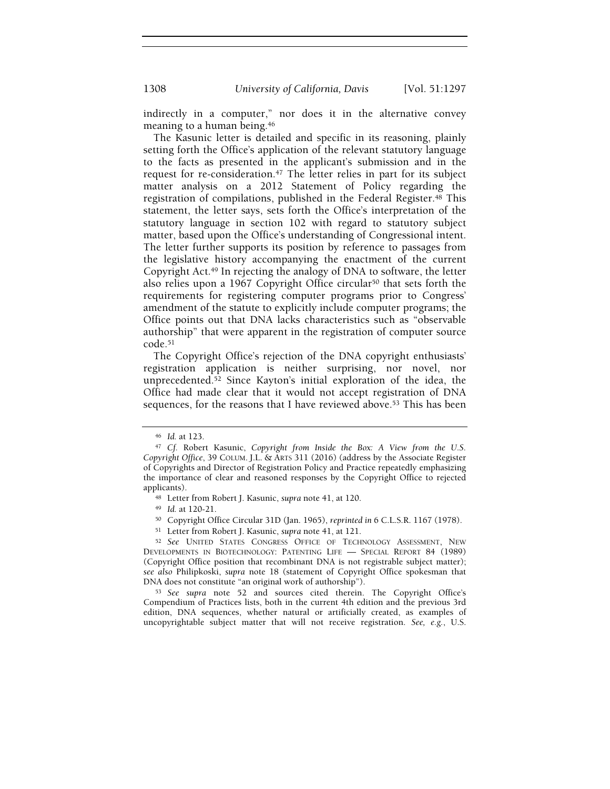indirectly in a computer," nor does it in the alternative convey meaning to a human being.<sup>46</sup>

The Kasunic letter is detailed and specific in its reasoning, plainly setting forth the Office's application of the relevant statutory language to the facts as presented in the applicant's submission and in the request for re-consideration.47 The letter relies in part for its subject matter analysis on a 2012 Statement of Policy regarding the registration of compilations, published in the Federal Register.48 This statement, the letter says, sets forth the Office's interpretation of the statutory language in section 102 with regard to statutory subject matter, based upon the Office's understanding of Congressional intent. The letter further supports its position by reference to passages from the legislative history accompanying the enactment of the current Copyright Act.49 In rejecting the analogy of DNA to software, the letter also relies upon a 1967 Copyright Office circular<sup>50</sup> that sets forth the requirements for registering computer programs prior to Congress' amendment of the statute to explicitly include computer programs; the Office points out that DNA lacks characteristics such as "observable authorship" that were apparent in the registration of computer source code.<sup>51</sup>

The Copyright Office's rejection of the DNA copyright enthusiasts' registration application is neither surprising, nor novel, nor unprecedented.52 Since Kayton's initial exploration of the idea, the Office had made clear that it would not accept registration of DNA sequences, for the reasons that I have reviewed above.53 This has been

<sup>49</sup> Id. at 120-21.

- <sup>50</sup> Copyright Office Circular 31D (Jan. 1965), reprinted in 6 C.L.S.R. 1167 (1978).
- <sup>51</sup> Letter from Robert J. Kasunic, supra note 41, at 121.

<sup>52</sup> See UNITED STATES CONGRESS OFFICE OF TECHNOLOGY ASSESSMENT, NEW DEVELOPMENTS IN BIOTECHNOLOGY: PATENTING LIFE — SPECIAL REPORT 84 (1989) (Copyright Office position that recombinant DNA is not registrable subject matter); see also Philipkoski, supra note 18 (statement of Copyright Office spokesman that DNA does not constitute "an original work of authorship").

<sup>53</sup> See supra note 52 and sources cited therein. The Copyright Office's Compendium of Practices lists, both in the current 4th edition and the previous 3rd edition, DNA sequences, whether natural or artificially created, as examples of uncopyrightable subject matter that will not receive registration. See,  $e.g., U.S.$ 

<sup>46</sup> Id. at 123.

<sup>&</sup>lt;sup>47</sup> Cf. Robert Kasunic, Copyright from Inside the Box: A View from the U.S. Copyright Office, 39 COLUM. J.L. & ARTS 311 (2016) (address by the Associate Register of Copyrights and Director of Registration Policy and Practice repeatedly emphasizing the importance of clear and reasoned responses by the Copyright Office to rejected applicants).

<sup>48</sup> Letter from Robert J. Kasunic, supra note 41, at 120.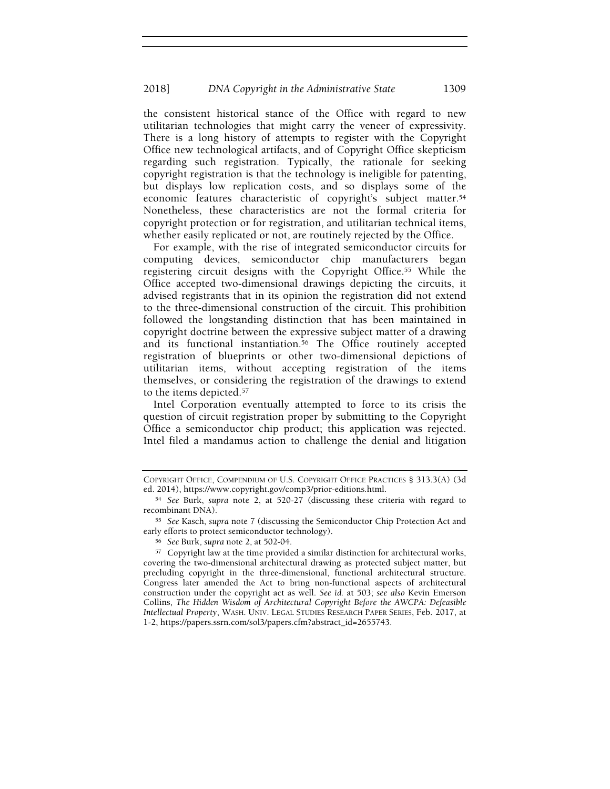the consistent historical stance of the Office with regard to new utilitarian technologies that might carry the veneer of expressivity. There is a long history of attempts to register with the Copyright Office new technological artifacts, and of Copyright Office skepticism regarding such registration. Typically, the rationale for seeking copyright registration is that the technology is ineligible for patenting, but displays low replication costs, and so displays some of the economic features characteristic of copyright's subject matter.<sup>54</sup> Nonetheless, these characteristics are not the formal criteria for copyright protection or for registration, and utilitarian technical items, whether easily replicated or not, are routinely rejected by the Office.

For example, with the rise of integrated semiconductor circuits for computing devices, semiconductor chip manufacturers began registering circuit designs with the Copyright Office.<sup>55</sup> While the Office accepted two-dimensional drawings depicting the circuits, it advised registrants that in its opinion the registration did not extend to the three-dimensional construction of the circuit. This prohibition followed the longstanding distinction that has been maintained in copyright doctrine between the expressive subject matter of a drawing and its functional instantiation.<sup>56</sup> The Office routinely accepted registration of blueprints or other two-dimensional depictions of utilitarian items, without accepting registration of the items themselves, or considering the registration of the drawings to extend to the items depicted.<sup>57</sup>

Intel Corporation eventually attempted to force to its crisis the question of circuit registration proper by submitting to the Copyright Office a semiconductor chip product; this application was rejected. Intel filed a mandamus action to challenge the denial and litigation

COPYRIGHT OFFICE, COMPENDIUM OF U.S. COPYRIGHT OFFICE PRACTICES § 313.3(A) (3d ed. 2014), https://www.copyright.gov/comp3/prior-editions.html.

<sup>54</sup> See Burk, supra note 2, at 520-27 (discussing these criteria with regard to recombinant DNA).

<sup>55</sup> See Kasch, supra note 7 (discussing the Semiconductor Chip Protection Act and early efforts to protect semiconductor technology).

<sup>56</sup> See Burk, supra note 2, at 502-04.

<sup>57</sup> Copyright law at the time provided a similar distinction for architectural works, covering the two-dimensional architectural drawing as protected subject matter, but precluding copyright in the three-dimensional, functional architectural structure. Congress later amended the Act to bring non-functional aspects of architectural construction under the copyright act as well. See id. at 503; see also Kevin Emerson Collins, The Hidden Wisdom of Architectural Copyright Before the AWCPA: Defeasible Intellectual Property, WASH. UNIV. LEGAL STUDIES RESEARCH PAPER SERIES, Feb. 2017, at 1-2, https://papers.ssrn.com/sol3/papers.cfm?abstract\_id=2655743.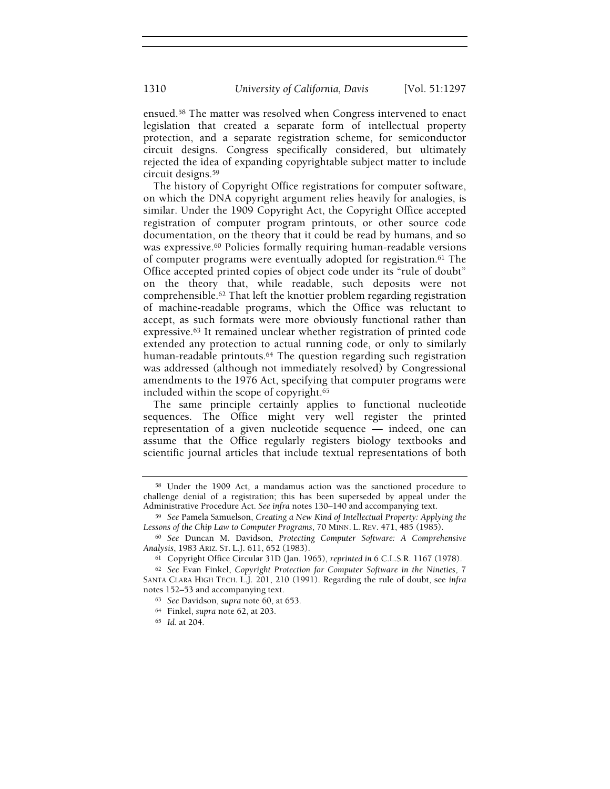ensued.58 The matter was resolved when Congress intervened to enact legislation that created a separate form of intellectual property protection, and a separate registration scheme, for semiconductor circuit designs. Congress specifically considered, but ultimately rejected the idea of expanding copyrightable subject matter to include circuit designs.<sup>59</sup>

The history of Copyright Office registrations for computer software, on which the DNA copyright argument relies heavily for analogies, is similar. Under the 1909 Copyright Act, the Copyright Office accepted registration of computer program printouts, or other source code documentation, on the theory that it could be read by humans, and so was expressive.60 Policies formally requiring human-readable versions of computer programs were eventually adopted for registration.61 The Office accepted printed copies of object code under its "rule of doubt" on the theory that, while readable, such deposits were not comprehensible.62 That left the knottier problem regarding registration of machine-readable programs, which the Office was reluctant to accept, as such formats were more obviously functional rather than expressive.63 It remained unclear whether registration of printed code extended any protection to actual running code, or only to similarly human-readable printouts.64 The question regarding such registration was addressed (although not immediately resolved) by Congressional amendments to the 1976 Act, specifying that computer programs were included within the scope of copyright.<sup>65</sup>

The same principle certainly applies to functional nucleotide sequences. The Office might very well register the printed representation of a given nucleotide sequence — indeed, one can assume that the Office regularly registers biology textbooks and scientific journal articles that include textual representations of both

<sup>58</sup> Under the 1909 Act, a mandamus action was the sanctioned procedure to challenge denial of a registration; this has been superseded by appeal under the Administrative Procedure Act. See infra notes 130–140 and accompanying text.

<sup>59</sup> See Pamela Samuelson, Creating a New Kind of Intellectual Property: Applying the Lessons of the Chip Law to Computer Programs, 70 MINN. L. REV. 471, 485 (1985).

<sup>60</sup> See Duncan M. Davidson, Protecting Computer Software: A Comprehensive Analysis, 1983 ARIZ. ST. L.J. 611, 652 (1983).

<sup>61</sup> Copyright Office Circular 31D (Jan. 1965), reprinted in 6 C.L.S.R. 1167 (1978).

<sup>62</sup> See Evan Finkel, Copyright Protection for Computer Software in the Nineties, 7 SANTA CLARA HIGH TECH. L.J. 201, 210 (1991). Regarding the rule of doubt, see infra notes 152–53 and accompanying text.

<sup>63</sup> See Davidson, supra note 60, at 653.

<sup>64</sup> Finkel, supra note 62, at 203.

<sup>65</sup> Id. at 204.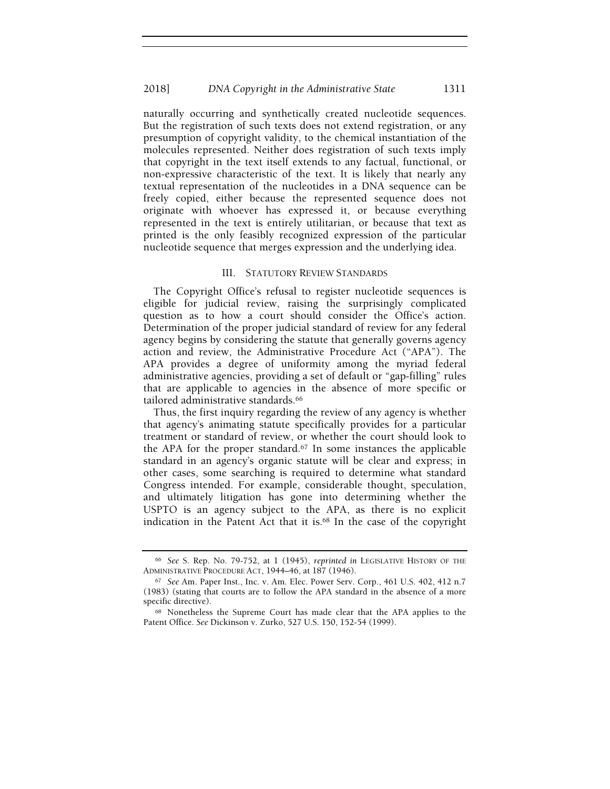naturally occurring and synthetically created nucleotide sequences. But the registration of such texts does not extend registration, or any presumption of copyright validity, to the chemical instantiation of the molecules represented. Neither does registration of such texts imply that copyright in the text itself extends to any factual, functional, or non-expressive characteristic of the text. It is likely that nearly any textual representation of the nucleotides in a DNA sequence can be freely copied, either because the represented sequence does not originate with whoever has expressed it, or because everything represented in the text is entirely utilitarian, or because that text as printed is the only feasibly recognized expression of the particular nucleotide sequence that merges expression and the underlying idea.

#### III. STATUTORY REVIEW STANDARDS

The Copyright Office's refusal to register nucleotide sequences is eligible for judicial review, raising the surprisingly complicated question as to how a court should consider the Office's action. Determination of the proper judicial standard of review for any federal agency begins by considering the statute that generally governs agency action and review, the Administrative Procedure Act ("APA"). The APA provides a degree of uniformity among the myriad federal administrative agencies, providing a set of default or "gap-filling" rules that are applicable to agencies in the absence of more specific or tailored administrative standards.<sup>66</sup>

Thus, the first inquiry regarding the review of any agency is whether that agency's animating statute specifically provides for a particular treatment or standard of review, or whether the court should look to the APA for the proper standard.67 In some instances the applicable standard in an agency's organic statute will be clear and express; in other cases, some searching is required to determine what standard Congress intended. For example, considerable thought, speculation, and ultimately litigation has gone into determining whether the USPTO is an agency subject to the APA, as there is no explicit indication in the Patent Act that it is.68 In the case of the copyright

<sup>66</sup> See S. Rep. No. 79-752, at 1 (1945), reprinted in LEGISLATIVE HISTORY OF THE ADMINISTRATIVE PROCEDURE ACT, 1944–46, at 187 (1946).

<sup>67</sup> See Am. Paper Inst., Inc. v. Am. Elec. Power Serv. Corp., 461 U.S. 402, 412 n.7 (1983) (stating that courts are to follow the APA standard in the absence of a more specific directive).

<sup>68</sup> Nonetheless the Supreme Court has made clear that the APA applies to the Patent Office. See Dickinson v. Zurko, 527 U.S. 150, 152-54 (1999).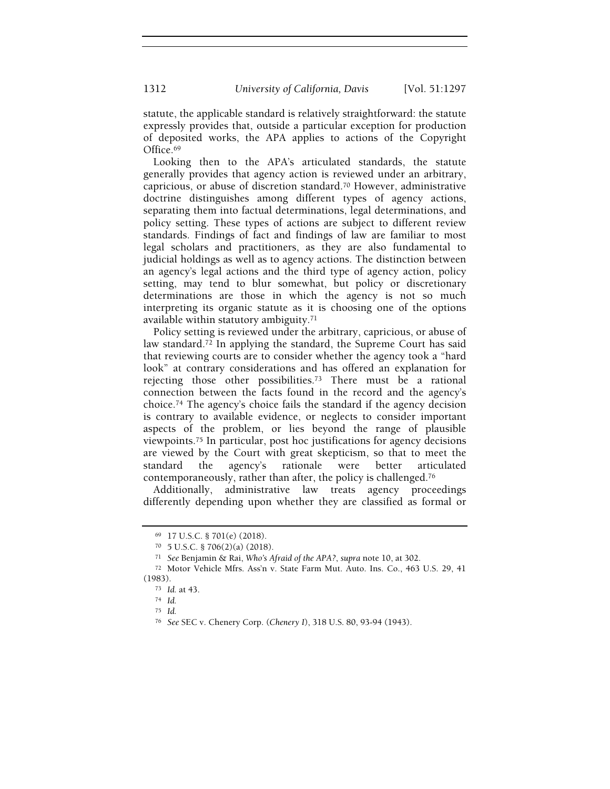statute, the applicable standard is relatively straightforward: the statute expressly provides that, outside a particular exception for production of deposited works, the APA applies to actions of the Copyright Office.<sup>69</sup>

Looking then to the APA's articulated standards, the statute generally provides that agency action is reviewed under an arbitrary, capricious, or abuse of discretion standard.70 However, administrative doctrine distinguishes among different types of agency actions, separating them into factual determinations, legal determinations, and policy setting. These types of actions are subject to different review standards. Findings of fact and findings of law are familiar to most legal scholars and practitioners, as they are also fundamental to judicial holdings as well as to agency actions. The distinction between an agency's legal actions and the third type of agency action, policy setting, may tend to blur somewhat, but policy or discretionary determinations are those in which the agency is not so much interpreting its organic statute as it is choosing one of the options available within statutory ambiguity.<sup>71</sup>

Policy setting is reviewed under the arbitrary, capricious, or abuse of law standard.72 In applying the standard, the Supreme Court has said that reviewing courts are to consider whether the agency took a "hard look" at contrary considerations and has offered an explanation for rejecting those other possibilities.73 There must be a rational connection between the facts found in the record and the agency's choice.74 The agency's choice fails the standard if the agency decision is contrary to available evidence, or neglects to consider important aspects of the problem, or lies beyond the range of plausible viewpoints.75 In particular, post hoc justifications for agency decisions are viewed by the Court with great skepticism, so that to meet the standard the agency's rationale were better articulated contemporaneously, rather than after, the policy is challenged.<sup>76</sup>

Additionally, administrative law treats agency proceedings differently depending upon whether they are classified as formal or

<sup>69</sup> 17 U.S.C. § 701(e) (2018).

<sup>70</sup> 5 U.S.C. § 706(2)(a) (2018).

<sup>71</sup> See Benjamin & Rai, Who's Afraid of the APA?, supra note 10, at 302.

<sup>72</sup> Motor Vehicle Mfrs. Ass'n v. State Farm Mut. Auto. Ins. Co., 463 U.S. 29, 41 (1983).

<sup>73</sup> Id. at 43.

<sup>74</sup> Id.

<sup>75</sup> Id.

<sup>76</sup> See SEC v. Chenery Corp. (Chenery I), 318 U.S. 80, 93-94 (1943).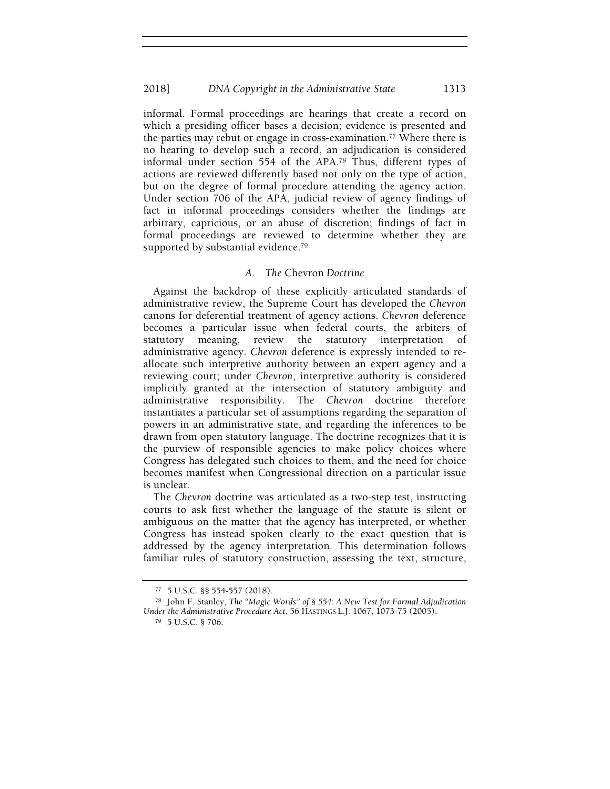informal. Formal proceedings are hearings that create a record on which a presiding officer bases a decision; evidence is presented and the parties may rebut or engage in cross-examination.77 Where there is no hearing to develop such a record, an adjudication is considered informal under section 554 of the APA.78 Thus, different types of actions are reviewed differently based not only on the type of action, but on the degree of formal procedure attending the agency action. Under section 706 of the APA, judicial review of agency findings of fact in informal proceedings considers whether the findings are arbitrary, capricious, or an abuse of discretion; findings of fact in formal proceedings are reviewed to determine whether they are supported by substantial evidence.<sup>79</sup>

# A. The Chevron Doctrine

Against the backdrop of these explicitly articulated standards of administrative review, the Supreme Court has developed the Chevron canons for deferential treatment of agency actions. Chevron deference becomes a particular issue when federal courts, the arbiters of statutory meaning, review the statutory interpretation of administrative agency. Chevron deference is expressly intended to reallocate such interpretive authority between an expert agency and a reviewing court; under Chevron, interpretive authority is considered implicitly granted at the intersection of statutory ambiguity and administrative responsibility. The Chevron doctrine therefore instantiates a particular set of assumptions regarding the separation of powers in an administrative state, and regarding the inferences to be drawn from open statutory language. The doctrine recognizes that it is the purview of responsible agencies to make policy choices where Congress has delegated such choices to them, and the need for choice becomes manifest when Congressional direction on a particular issue is unclear.

The Chevron doctrine was articulated as a two-step test, instructing courts to ask first whether the language of the statute is silent or ambiguous on the matter that the agency has interpreted, or whether Congress has instead spoken clearly to the exact question that is addressed by the agency interpretation. This determination follows familiar rules of statutory construction, assessing the text, structure,

<sup>77</sup> 5 U.S.C. §§ 554-557 (2018).

<sup>78</sup> John F. Stanley, The "Magic Words" of § 554: A New Test for Formal Adjudication Under the Administrative Procedure Act, 56 HASTINGS L.J. 1067, 1073-75 (2005).

<sup>79</sup> 5 U.S.C. § 706.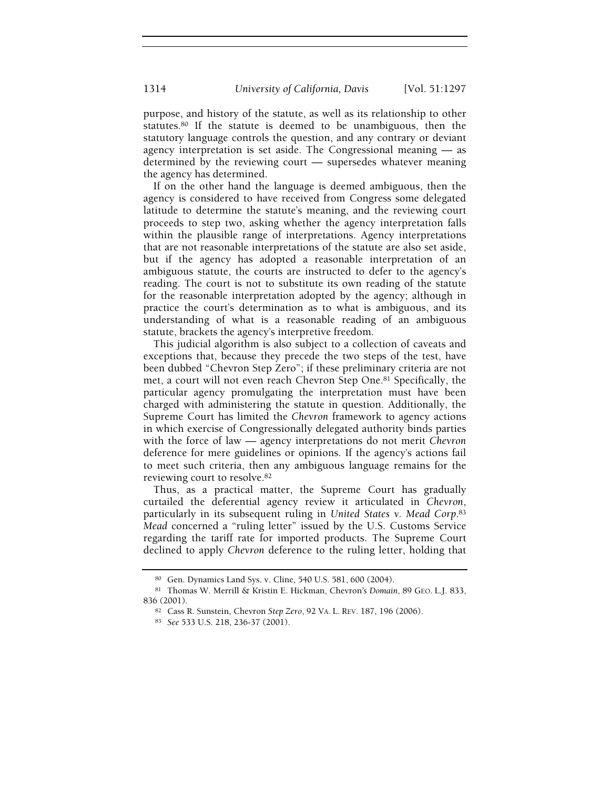purpose, and history of the statute, as well as its relationship to other statutes.80 If the statute is deemed to be unambiguous, then the statutory language controls the question, and any contrary or deviant agency interpretation is set aside. The Congressional meaning — as determined by the reviewing court — supersedes whatever meaning the agency has determined.

If on the other hand the language is deemed ambiguous, then the agency is considered to have received from Congress some delegated latitude to determine the statute's meaning, and the reviewing court proceeds to step two, asking whether the agency interpretation falls within the plausible range of interpretations. Agency interpretations that are not reasonable interpretations of the statute are also set aside, but if the agency has adopted a reasonable interpretation of an ambiguous statute, the courts are instructed to defer to the agency's reading. The court is not to substitute its own reading of the statute for the reasonable interpretation adopted by the agency; although in practice the court's determination as to what is ambiguous, and its understanding of what is a reasonable reading of an ambiguous statute, brackets the agency's interpretive freedom.

This judicial algorithm is also subject to a collection of caveats and exceptions that, because they precede the two steps of the test, have been dubbed "Chevron Step Zero"; if these preliminary criteria are not met, a court will not even reach Chevron Step One.81 Specifically, the particular agency promulgating the interpretation must have been charged with administering the statute in question. Additionally, the Supreme Court has limited the Chevron framework to agency actions in which exercise of Congressionally delegated authority binds parties with the force of law — agency interpretations do not merit Chevron deference for mere guidelines or opinions. If the agency's actions fail to meet such criteria, then any ambiguous language remains for the reviewing court to resolve.<sup>82</sup>

Thus, as a practical matter, the Supreme Court has gradually curtailed the deferential agency review it articulated in Chevron, particularly in its subsequent ruling in United States v. Mead Corp.<sup>83</sup> Mead concerned a "ruling letter" issued by the U.S. Customs Service regarding the tariff rate for imported products. The Supreme Court declined to apply Chevron deference to the ruling letter, holding that

<sup>80</sup> Gen. Dynamics Land Sys. v. Cline, 540 U.S. 581, 600 (2004).

<sup>81</sup> Thomas W. Merrill & Kristin E. Hickman, Chevron's Domain, 89 GEO. L.J. 833, 836 (2001).

<sup>82</sup> Cass R. Sunstein, Chevron Step Zero, 92 VA. L. REV. 187, 196 (2006).

<sup>83</sup> See 533 U.S. 218, 236-37 (2001).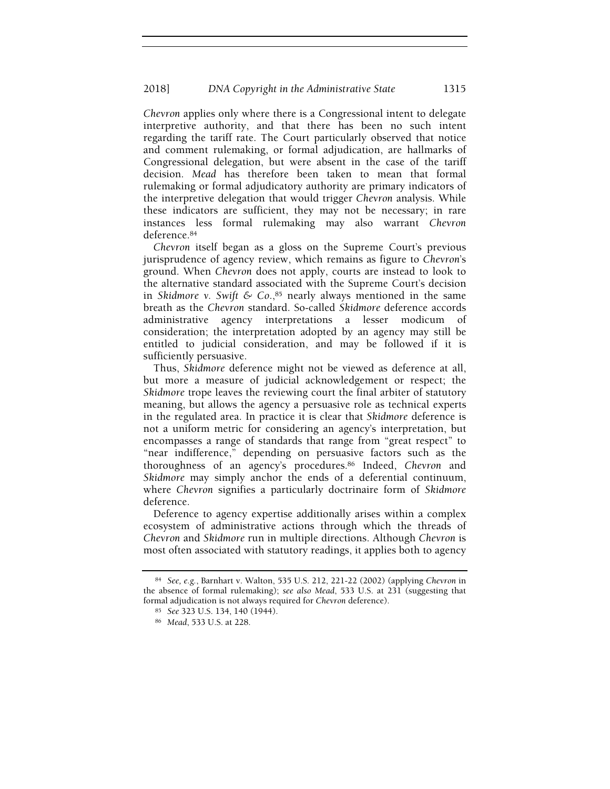Chevron applies only where there is a Congressional intent to delegate interpretive authority, and that there has been no such intent regarding the tariff rate. The Court particularly observed that notice and comment rulemaking, or formal adjudication, are hallmarks of Congressional delegation, but were absent in the case of the tariff decision. Mead has therefore been taken to mean that formal rulemaking or formal adjudicatory authority are primary indicators of the interpretive delegation that would trigger Chevron analysis. While these indicators are sufficient, they may not be necessary; in rare instances less formal rulemaking may also warrant Chevron deference.<sup>84</sup>

Chevron itself began as a gloss on the Supreme Court's previous jurisprudence of agency review, which remains as figure to Chevron's ground. When Chevron does not apply, courts are instead to look to the alternative standard associated with the Supreme Court's decision in Skidmore v. Swift & Co.,<sup>85</sup> nearly always mentioned in the same breath as the Chevron standard. So-called Skidmore deference accords administrative agency interpretations a lesser modicum of consideration; the interpretation adopted by an agency may still be entitled to judicial consideration, and may be followed if it is sufficiently persuasive.

Thus, Skidmore deference might not be viewed as deference at all, but more a measure of judicial acknowledgement or respect; the Skidmore trope leaves the reviewing court the final arbiter of statutory meaning, but allows the agency a persuasive role as technical experts in the regulated area. In practice it is clear that Skidmore deference is not a uniform metric for considering an agency's interpretation, but encompasses a range of standards that range from "great respect" to "near indifference," depending on persuasive factors such as the thoroughness of an agency's procedures.86 Indeed, Chevron and Skidmore may simply anchor the ends of a deferential continuum, where Chevron signifies a particularly doctrinaire form of Skidmore deference.

Deference to agency expertise additionally arises within a complex ecosystem of administrative actions through which the threads of Chevron and Skidmore run in multiple directions. Although Chevron is most often associated with statutory readings, it applies both to agency

<sup>84</sup> See, e.g., Barnhart v. Walton, 535 U.S. 212, 221-22 (2002) (applying Chevron in the absence of formal rulemaking); see also Mead, 533 U.S. at 231 (suggesting that formal adjudication is not always required for Chevron deference).

<sup>85</sup> See 323 U.S. 134, 140 (1944).

<sup>86</sup> Mead, 533 U.S. at 228.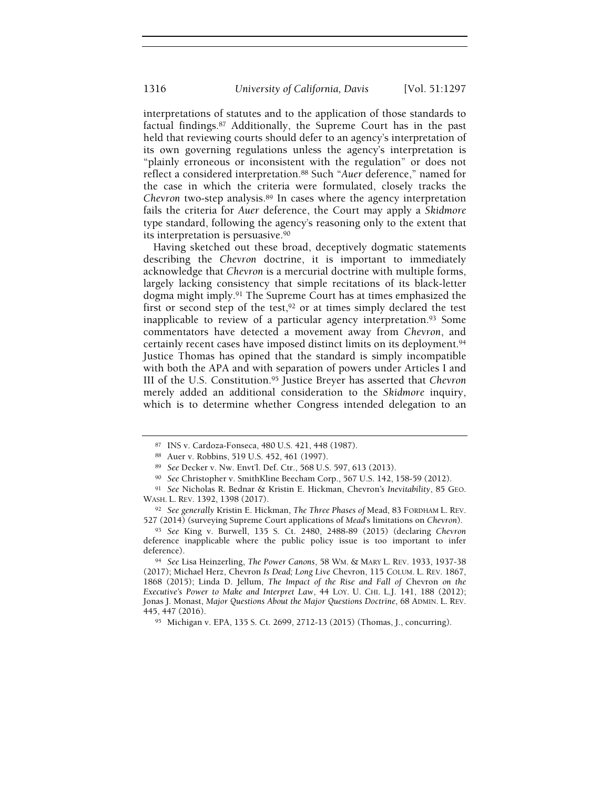interpretations of statutes and to the application of those standards to factual findings.87 Additionally, the Supreme Court has in the past held that reviewing courts should defer to an agency's interpretation of its own governing regulations unless the agency's interpretation is "plainly erroneous or inconsistent with the regulation" or does not reflect a considered interpretation.88 Such "Auer deference," named for the case in which the criteria were formulated, closely tracks the Chevron two-step analysis.89 In cases where the agency interpretation fails the criteria for Auer deference, the Court may apply a Skidmore type standard, following the agency's reasoning only to the extent that its interpretation is persuasive.<sup>90</sup>

Having sketched out these broad, deceptively dogmatic statements describing the Chevron doctrine, it is important to immediately acknowledge that Chevron is a mercurial doctrine with multiple forms, largely lacking consistency that simple recitations of its black-letter dogma might imply.91 The Supreme Court has at times emphasized the first or second step of the test,  $92$  or at times simply declared the test inapplicable to review of a particular agency interpretation.93 Some commentators have detected a movement away from Chevron, and certainly recent cases have imposed distinct limits on its deployment.<sup>94</sup> Justice Thomas has opined that the standard is simply incompatible with both the APA and with separation of powers under Articles I and III of the U.S. Constitution.95 Justice Breyer has asserted that Chevron merely added an additional consideration to the Skidmore inquiry, which is to determine whether Congress intended delegation to an

<sup>87</sup> INS v. Cardoza-Fonseca, 480 U.S. 421, 448 (1987).

<sup>88</sup> Auer v. Robbins, 519 U.S. 452, 461 (1997).

<sup>89</sup> See Decker v. Nw. Envt'l. Def. Ctr., 568 U.S. 597, 613 (2013).

<sup>90</sup> See Christopher v. SmithKline Beecham Corp., 567 U.S. 142, 158-59 (2012).

<sup>91</sup> See Nicholas R. Bednar & Kristin E. Hickman, Chevron's Inevitability, 85 GEO. WASH. L. REV. 1392, 1398 (2017).

<sup>92</sup> See generally Kristin E. Hickman, The Three Phases of Mead, 83 FORDHAM L. REV. 527 (2014) (surveying Supreme Court applications of Mead's limitations on Chevron).

<sup>93</sup> See King v. Burwell, 135 S. Ct. 2480, 2488-89 (2015) (declaring Chevron deference inapplicable where the public policy issue is too important to infer deference).

<sup>94</sup> See Lisa Heinzerling, The Power Canons, 58 WM. & MARY L. REV. 1933, 1937-38 (2017); Michael Herz, Chevron Is Dead; Long Live Chevron, 115 COLUM. L. REV. 1867, 1868 (2015); Linda D. Jellum, The Impact of the Rise and Fall of Chevron on the Executive's Power to Make and Interpret Law, 44 LOY. U. CHI. L.J. 141, 188 (2012); Jonas J. Monast, Major Questions About the Major Questions Doctrine, 68 ADMIN. L. REV. 445, 447 (2016).

<sup>95</sup> Michigan v. EPA, 135 S. Ct. 2699, 2712-13 (2015) (Thomas, J., concurring).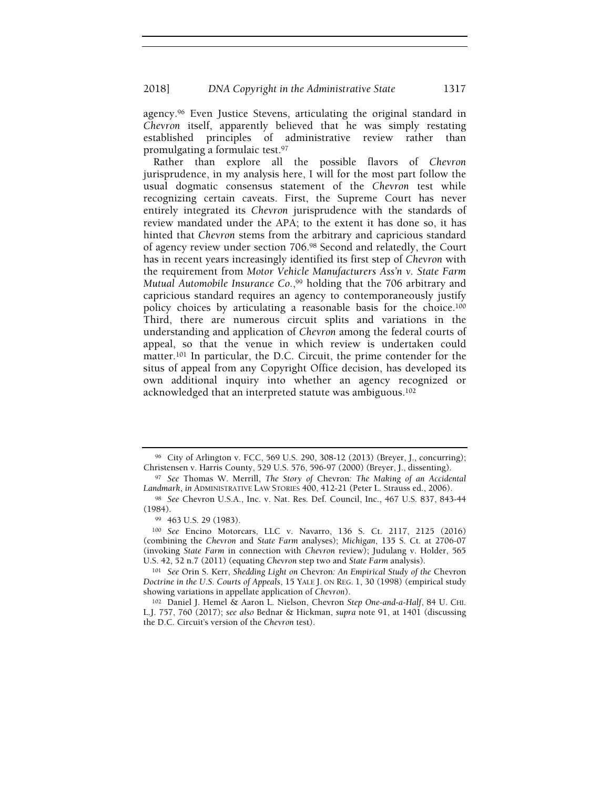agency.96 Even Justice Stevens, articulating the original standard in Chevron itself, apparently believed that he was simply restating established principles of administrative review rather than promulgating a formulaic test.<sup>97</sup>

Rather than explore all the possible flavors of Chevron jurisprudence, in my analysis here, I will for the most part follow the usual dogmatic consensus statement of the Chevron test while recognizing certain caveats. First, the Supreme Court has never entirely integrated its Chevron jurisprudence with the standards of review mandated under the APA; to the extent it has done so, it has hinted that Chevron stems from the arbitrary and capricious standard of agency review under section 706.98 Second and relatedly, the Court has in recent years increasingly identified its first step of Chevron with the requirement from Motor Vehicle Manufacturers Ass'n v. State Farm Mutual Automobile Insurance Co.,<sup>99</sup> holding that the 706 arbitrary and capricious standard requires an agency to contemporaneously justify policy choices by articulating a reasonable basis for the choice.<sup>100</sup> Third, there are numerous circuit splits and variations in the understanding and application of Chevron among the federal courts of appeal, so that the venue in which review is undertaken could matter.101 In particular, the D.C. Circuit, the prime contender for the situs of appeal from any Copyright Office decision, has developed its own additional inquiry into whether an agency recognized or acknowledged that an interpreted statute was ambiguous.<sup>102</sup>

<sup>96</sup> City of Arlington v. FCC, 569 U.S. 290, 308-12 (2013) (Breyer, J., concurring); Christensen v. Harris County, 529 U.S. 576, 596-97 (2000) (Breyer, J., dissenting).

<sup>97</sup> See Thomas W. Merrill, The Story of Chevron: The Making of an Accidental Landmark, in ADMINISTRATIVE LAW STORIES 400, 412-21 (Peter L. Strauss ed., 2006).

<sup>98</sup> See Chevron U.S.A., Inc. v. Nat. Res. Def. Council, Inc., 467 U.S. 837, 843-44 (1984).

<sup>99</sup> 463 U.S. 29 (1983).

<sup>100</sup> See Encino Motorcars, LLC v. Navarro, 136 S. Ct. 2117, 2125 (2016) (combining the Chevron and State Farm analyses); Michigan, 135 S. Ct. at 2706-07 (invoking State Farm in connection with Chevron review); Judulang v. Holder, 565 U.S. 42, 52 n.7 (2011) (equating Chevron step two and State Farm analysis).

<sup>101</sup> See Orin S. Kerr, Shedding Light on Chevron: An Empirical Study of the Chevron Doctrine in the U.S. Courts of Appeals, 15 YALE J. ON REG. 1, 30 (1998) (empirical study showing variations in appellate application of Chevron).

<sup>102</sup> Daniel J. Hemel & Aaron L. Nielson, Chevron Step One-and-a-Half, 84 U. CHI. L.J. 757, 760 (2017); see also Bednar & Hickman, supra note 91, at 1401 (discussing the D.C. Circuit's version of the Chevron test).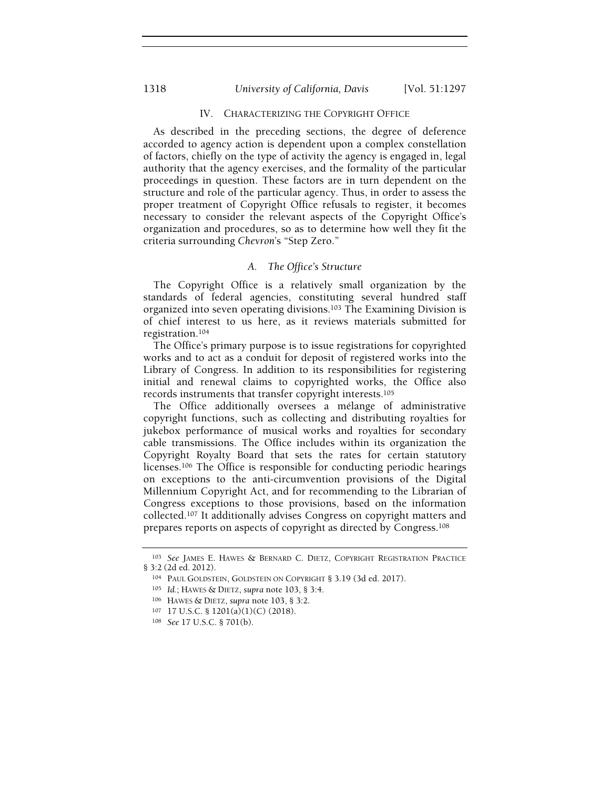# 1318 University of California, Davis [Vol. 51:1297

## IV. CHARACTERIZING THE COPYRIGHT OFFICE

As described in the preceding sections, the degree of deference accorded to agency action is dependent upon a complex constellation of factors, chiefly on the type of activity the agency is engaged in, legal authority that the agency exercises, and the formality of the particular proceedings in question. These factors are in turn dependent on the structure and role of the particular agency. Thus, in order to assess the proper treatment of Copyright Office refusals to register, it becomes necessary to consider the relevant aspects of the Copyright Office's organization and procedures, so as to determine how well they fit the criteria surrounding Chevron's "Step Zero."

## A. The Office's Structure

The Copyright Office is a relatively small organization by the standards of federal agencies, constituting several hundred staff organized into seven operating divisions.103 The Examining Division is of chief interest to us here, as it reviews materials submitted for registration.<sup>104</sup>

The Office's primary purpose is to issue registrations for copyrighted works and to act as a conduit for deposit of registered works into the Library of Congress. In addition to its responsibilities for registering initial and renewal claims to copyrighted works, the Office also records instruments that transfer copyright interests.<sup>105</sup>

The Office additionally oversees a mélange of administrative copyright functions, such as collecting and distributing royalties for jukebox performance of musical works and royalties for secondary cable transmissions. The Office includes within its organization the Copyright Royalty Board that sets the rates for certain statutory licenses.106 The Office is responsible for conducting periodic hearings on exceptions to the anti-circumvention provisions of the Digital Millennium Copyright Act, and for recommending to the Librarian of Congress exceptions to those provisions, based on the information collected.107 It additionally advises Congress on copyright matters and prepares reports on aspects of copyright as directed by Congress.<sup>108</sup>

<sup>103</sup> See JAMES E. HAWES & BERNARD C. DIETZ, COPYRIGHT REGISTRATION PRACTICE § 3:2 (2d ed. 2012).

<sup>104</sup> PAUL GOLDSTEIN, GOLDSTEIN ON COPYRIGHT § 3.19 (3d ed. 2017).

<sup>105</sup> Id.; HAWES & DIETZ, supra note 103, § 3:4.

<sup>106</sup> HAWES & DIETZ, supra note 103, § 3:2.

<sup>107</sup> 17 U.S.C. § 1201(a)(1)(C) (2018).

<sup>108</sup> See 17 U.S.C. § 701(b).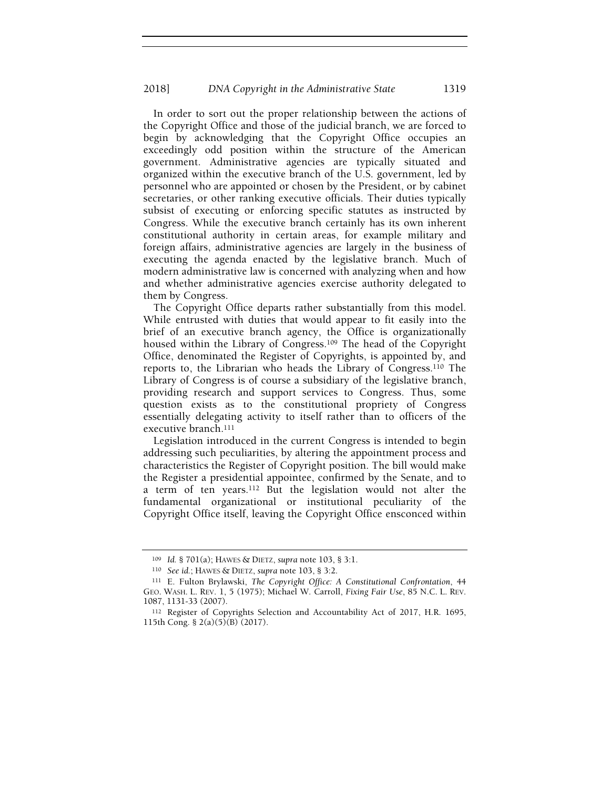In order to sort out the proper relationship between the actions of the Copyright Office and those of the judicial branch, we are forced to begin by acknowledging that the Copyright Office occupies an exceedingly odd position within the structure of the American government. Administrative agencies are typically situated and organized within the executive branch of the U.S. government, led by personnel who are appointed or chosen by the President, or by cabinet secretaries, or other ranking executive officials. Their duties typically subsist of executing or enforcing specific statutes as instructed by Congress. While the executive branch certainly has its own inherent constitutional authority in certain areas, for example military and foreign affairs, administrative agencies are largely in the business of executing the agenda enacted by the legislative branch. Much of modern administrative law is concerned with analyzing when and how and whether administrative agencies exercise authority delegated to them by Congress.

The Copyright Office departs rather substantially from this model. While entrusted with duties that would appear to fit easily into the brief of an executive branch agency, the Office is organizationally housed within the Library of Congress.109 The head of the Copyright Office, denominated the Register of Copyrights, is appointed by, and reports to, the Librarian who heads the Library of Congress.110 The Library of Congress is of course a subsidiary of the legislative branch, providing research and support services to Congress. Thus, some question exists as to the constitutional propriety of Congress essentially delegating activity to itself rather than to officers of the executive branch.<sup>111</sup>

Legislation introduced in the current Congress is intended to begin addressing such peculiarities, by altering the appointment process and characteristics the Register of Copyright position. The bill would make the Register a presidential appointee, confirmed by the Senate, and to a term of ten years.112 But the legislation would not alter the fundamental organizational or institutional peculiarity of the Copyright Office itself, leaving the Copyright Office ensconced within

<sup>109</sup> Id. § 701(a); HAWES & DIETZ, supra note 103, § 3:1.

<sup>110</sup> See id.; HAWES & DIETZ, supra note 103, § 3:2.

<sup>111</sup> E. Fulton Brylawski, The Copyright Office: A Constitutional Confrontation, 44 GEO. WASH. L. REV. 1, 5 (1975); Michael W. Carroll, Fixing Fair Use, 85 N.C. L. REV. 1087, 1131-33 (2007).

<sup>112</sup> Register of Copyrights Selection and Accountability Act of 2017, H.R. 1695, 115th Cong. § 2(a)(5)(B) (2017).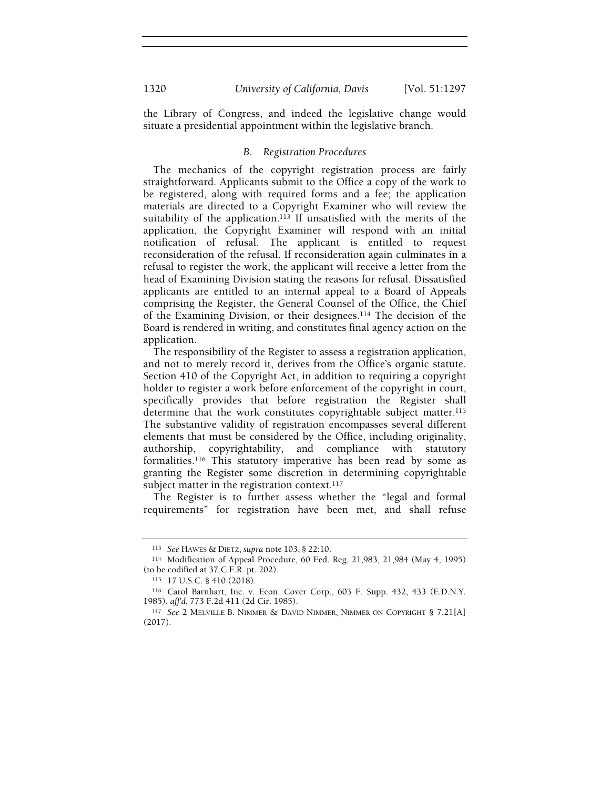the Library of Congress, and indeed the legislative change would situate a presidential appointment within the legislative branch.

#### B. Registration Procedures

The mechanics of the copyright registration process are fairly straightforward. Applicants submit to the Office a copy of the work to be registered, along with required forms and a fee; the application materials are directed to a Copyright Examiner who will review the suitability of the application.<sup>113</sup> If unsatisfied with the merits of the application, the Copyright Examiner will respond with an initial notification of refusal. The applicant is entitled to request reconsideration of the refusal. If reconsideration again culminates in a refusal to register the work, the applicant will receive a letter from the head of Examining Division stating the reasons for refusal. Dissatisfied applicants are entitled to an internal appeal to a Board of Appeals comprising the Register, the General Counsel of the Office, the Chief of the Examining Division, or their designees.114 The decision of the Board is rendered in writing, and constitutes final agency action on the application.

The responsibility of the Register to assess a registration application, and not to merely record it, derives from the Office's organic statute. Section 410 of the Copyright Act, in addition to requiring a copyright holder to register a work before enforcement of the copyright in court, specifically provides that before registration the Register shall determine that the work constitutes copyrightable subject matter.<sup>115</sup> The substantive validity of registration encompasses several different elements that must be considered by the Office, including originality, authorship, copyrightability, and compliance with statutory formalities.116 This statutory imperative has been read by some as granting the Register some discretion in determining copyrightable subject matter in the registration context.<sup>117</sup>

The Register is to further assess whether the "legal and formal requirements" for registration have been met, and shall refuse

<sup>113</sup> See HAWES & DIETZ, supra note 103, § 22:10.

<sup>114</sup> Modification of Appeal Procedure, 60 Fed. Reg. 21,983, 21,984 (May 4, 1995) (to be codified at 37 C.F.R. pt. 202).

<sup>115</sup> 17 U.S.C. § 410 (2018).

<sup>116</sup> Carol Barnhart, Inc. v. Econ. Cover Corp., 603 F. Supp. 432, 433 (E.D.N.Y. 1985), aff'd, 773 F.2d 411 (2d Cir. 1985).

<sup>117</sup> See 2 MELVILLE B. NIMMER & DAVID NIMMER, NIMMER ON COPYRIGHT § 7.21[A] (2017).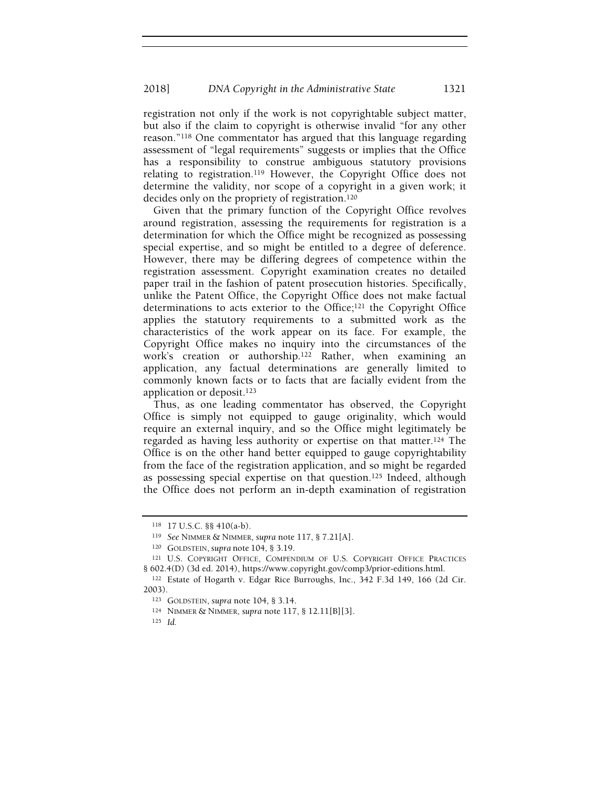registration not only if the work is not copyrightable subject matter, but also if the claim to copyright is otherwise invalid "for any other reason."118 One commentator has argued that this language regarding assessment of "legal requirements" suggests or implies that the Office has a responsibility to construe ambiguous statutory provisions relating to registration.119 However, the Copyright Office does not determine the validity, nor scope of a copyright in a given work; it decides only on the propriety of registration.<sup>120</sup>

Given that the primary function of the Copyright Office revolves around registration, assessing the requirements for registration is a determination for which the Office might be recognized as possessing special expertise, and so might be entitled to a degree of deference. However, there may be differing degrees of competence within the registration assessment. Copyright examination creates no detailed paper trail in the fashion of patent prosecution histories. Specifically, unlike the Patent Office, the Copyright Office does not make factual determinations to acts exterior to the Office;121 the Copyright Office applies the statutory requirements to a submitted work as the characteristics of the work appear on its face. For example, the Copyright Office makes no inquiry into the circumstances of the work's creation or authorship.122 Rather, when examining an application, any factual determinations are generally limited to commonly known facts or to facts that are facially evident from the application or deposit.<sup>123</sup>

Thus, as one leading commentator has observed, the Copyright Office is simply not equipped to gauge originality, which would require an external inquiry, and so the Office might legitimately be regarded as having less authority or expertise on that matter.124 The Office is on the other hand better equipped to gauge copyrightability from the face of the registration application, and so might be regarded as possessing special expertise on that question.125 Indeed, although the Office does not perform an in-depth examination of registration

<sup>125</sup> Id.

<sup>118</sup> 17 U.S.C. §§ 410(a-b).

<sup>119</sup> See NIMMER & NIMMER, supra note 117, § 7.21[A].

<sup>120</sup> GOLDSTEIN, supra note 104, § 3.19.

<sup>121</sup> U.S. COPYRIGHT OFFICE, COMPENDIUM OF U.S. COPYRIGHT OFFICE PRACTICES § 602.4(D) (3d ed. 2014), https://www.copyright.gov/comp3/prior-editions.html.

<sup>122</sup> Estate of Hogarth v. Edgar Rice Burroughs, Inc., 342 F.3d 149, 166 (2d Cir. 2003).

<sup>123</sup> GOLDSTEIN, supra note 104, § 3.14.

<sup>124</sup> NIMMER & NIMMER, supra note 117, § 12.11[B][3].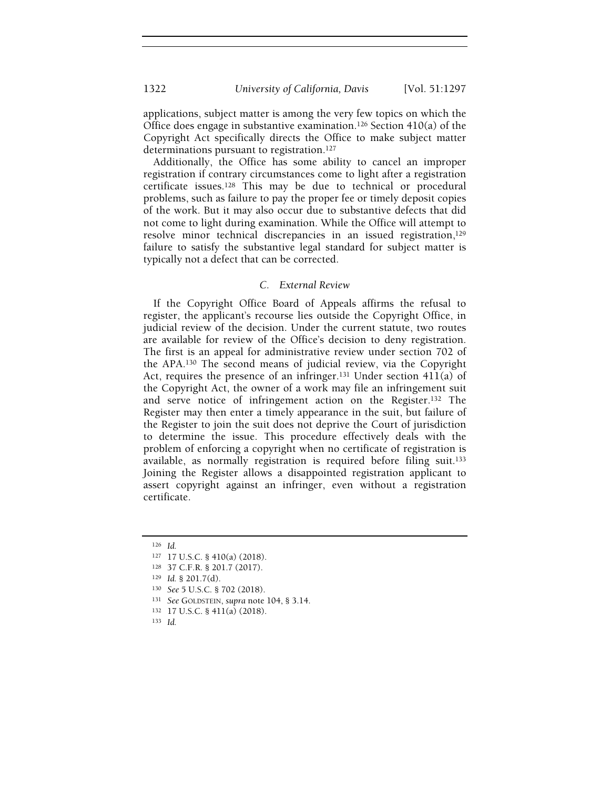applications, subject matter is among the very few topics on which the Office does engage in substantive examination.<sup>126</sup> Section 410(a) of the Copyright Act specifically directs the Office to make subject matter determinations pursuant to registration.<sup>127</sup>

Additionally, the Office has some ability to cancel an improper registration if contrary circumstances come to light after a registration certificate issues.128 This may be due to technical or procedural problems, such as failure to pay the proper fee or timely deposit copies of the work. But it may also occur due to substantive defects that did not come to light during examination. While the Office will attempt to resolve minor technical discrepancies in an issued registration,<sup>129</sup> failure to satisfy the substantive legal standard for subject matter is typically not a defect that can be corrected.

# C. External Review

If the Copyright Office Board of Appeals affirms the refusal to register, the applicant's recourse lies outside the Copyright Office, in judicial review of the decision. Under the current statute, two routes are available for review of the Office's decision to deny registration. The first is an appeal for administrative review under section 702 of the APA.130 The second means of judicial review, via the Copyright Act, requires the presence of an infringer.<sup>131</sup> Under section 411(a) of the Copyright Act, the owner of a work may file an infringement suit and serve notice of infringement action on the Register.132 The Register may then enter a timely appearance in the suit, but failure of the Register to join the suit does not deprive the Court of jurisdiction to determine the issue. This procedure effectively deals with the problem of enforcing a copyright when no certificate of registration is available, as normally registration is required before filing suit.<sup>133</sup> Joining the Register allows a disappointed registration applicant to assert copyright against an infringer, even without a registration certificate.

<sup>126</sup> Id.

<sup>127</sup> 17 U.S.C. § 410(a) (2018).

<sup>128</sup> 37 C.F.R. § 201.7 (2017).

 $129$  *Id.* § 201.7(d).

<sup>130</sup> See 5 U.S.C. § 702 (2018).

<sup>131</sup> See GOLDSTEIN, supra note 104, § 3.14.

<sup>132</sup> 17 U.S.C. § 411(a) (2018).

<sup>133</sup> Id.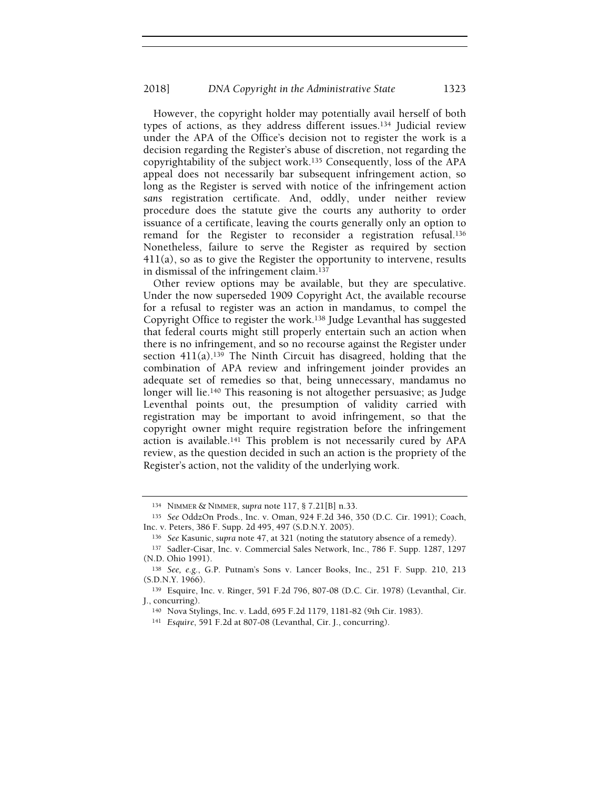However, the copyright holder may potentially avail herself of both types of actions, as they address different issues.134 Judicial review under the APA of the Office's decision not to register the work is a decision regarding the Register's abuse of discretion, not regarding the copyrightability of the subject work.135 Consequently, loss of the APA appeal does not necessarily bar subsequent infringement action, so long as the Register is served with notice of the infringement action sans registration certificate. And, oddly, under neither review procedure does the statute give the courts any authority to order issuance of a certificate, leaving the courts generally only an option to remand for the Register to reconsider a registration refusal.<sup>136</sup> Nonetheless, failure to serve the Register as required by section  $411(a)$ , so as to give the Register the opportunity to intervene, results in dismissal of the infringement claim.<sup>137</sup>

Other review options may be available, but they are speculative. Under the now superseded 1909 Copyright Act, the available recourse for a refusal to register was an action in mandamus, to compel the Copyright Office to register the work.138 Judge Levanthal has suggested that federal courts might still properly entertain such an action when there is no infringement, and so no recourse against the Register under section  $411(a)$ .<sup>139</sup> The Ninth Circuit has disagreed, holding that the combination of APA review and infringement joinder provides an adequate set of remedies so that, being unnecessary, mandamus no longer will lie.<sup>140</sup> This reasoning is not altogether persuasive; as Judge Leventhal points out, the presumption of validity carried with registration may be important to avoid infringement, so that the copyright owner might require registration before the infringement action is available.141 This problem is not necessarily cured by APA review, as the question decided in such an action is the propriety of the Register's action, not the validity of the underlying work.

<sup>134</sup> NIMMER & NIMMER, supra note 117, § 7.21[B] n.33.

<sup>135</sup> See OddzOn Prods., Inc. v. Oman, 924 F.2d 346, 350 (D.C. Cir. 1991); Coach, Inc. v. Peters, 386 F. Supp. 2d 495, 497 (S.D.N.Y. 2005).

<sup>136</sup> See Kasunic, supra note 47, at 321 (noting the statutory absence of a remedy).

<sup>137</sup> Sadler-Cisar, Inc. v. Commercial Sales Network, Inc., 786 F. Supp. 1287, 1297 (N.D. Ohio 1991).

<sup>138</sup> See, e.g., G.P. Putnam's Sons v. Lancer Books, Inc., 251 F. Supp. 210, 213 (S.D.N.Y. 1966).

<sup>139</sup> Esquire, Inc. v. Ringer, 591 F.2d 796, 807-08 (D.C. Cir. 1978) (Levanthal, Cir. J., concurring).

<sup>140</sup> Nova Stylings, Inc. v. Ladd, 695 F.2d 1179, 1181-82 (9th Cir. 1983).

<sup>141</sup> Esquire, 591 F.2d at 807-08 (Levanthal, Cir. J., concurring).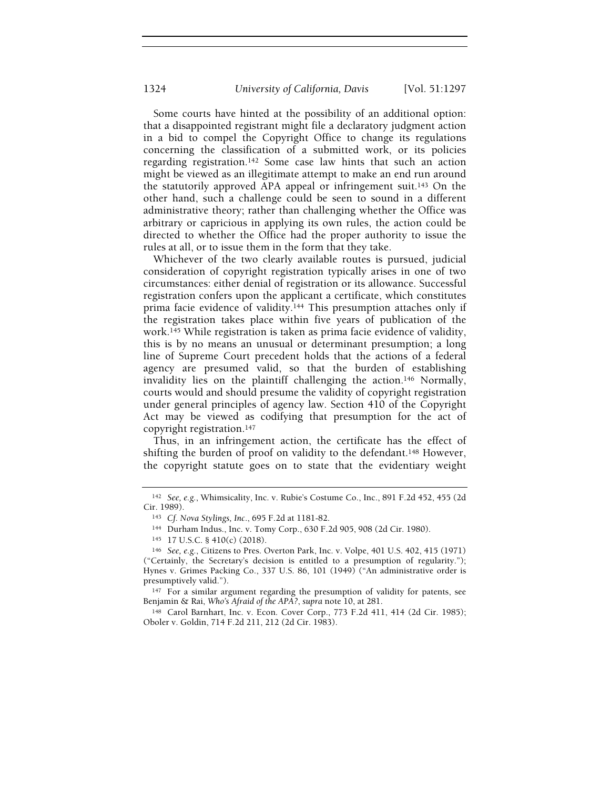Some courts have hinted at the possibility of an additional option: that a disappointed registrant might file a declaratory judgment action in a bid to compel the Copyright Office to change its regulations concerning the classification of a submitted work, or its policies regarding registration.142 Some case law hints that such an action might be viewed as an illegitimate attempt to make an end run around the statutorily approved APA appeal or infringement suit.143 On the other hand, such a challenge could be seen to sound in a different administrative theory; rather than challenging whether the Office was arbitrary or capricious in applying its own rules, the action could be directed to whether the Office had the proper authority to issue the rules at all, or to issue them in the form that they take.

Whichever of the two clearly available routes is pursued, judicial consideration of copyright registration typically arises in one of two circumstances: either denial of registration or its allowance. Successful registration confers upon the applicant a certificate, which constitutes prima facie evidence of validity.144 This presumption attaches only if the registration takes place within five years of publication of the work.145 While registration is taken as prima facie evidence of validity, this is by no means an unusual or determinant presumption; a long line of Supreme Court precedent holds that the actions of a federal agency are presumed valid, so that the burden of establishing invalidity lies on the plaintiff challenging the action.146 Normally, courts would and should presume the validity of copyright registration under general principles of agency law. Section 410 of the Copyright Act may be viewed as codifying that presumption for the act of copyright registration.<sup>147</sup>

Thus, in an infringement action, the certificate has the effect of shifting the burden of proof on validity to the defendant.<sup>148</sup> However, the copyright statute goes on to state that the evidentiary weight

<sup>147</sup> For a similar argument regarding the presumption of validity for patents, see Benjamin & Rai, Who's Afraid of the APA?, supra note 10, at 281.

<sup>148</sup> Carol Barnhart, Inc. v. Econ. Cover Corp., 773 F.2d 411, 414 (2d Cir. 1985); Oboler v. Goldin, 714 F.2d 211, 212 (2d Cir. 1983).

<sup>142</sup> See, e.g., Whimsicality, Inc. v. Rubie's Costume Co., Inc., 891 F.2d 452, 455 (2d Cir. 1989).

<sup>143</sup> Cf. Nova Stylings, Inc., 695 F.2d at 1181-82.

<sup>144</sup> Durham Indus., Inc. v. Tomy Corp., 630 F.2d 905, 908 (2d Cir. 1980).

<sup>145</sup> 17 U.S.C. § 410(c) (2018).

<sup>146</sup> See, e.g., Citizens to Pres. Overton Park, Inc. v. Volpe, 401 U.S. 402, 415 (1971) ("Certainly, the Secretary's decision is entitled to a presumption of regularity."); Hynes v. Grimes Packing Co., 337 U.S. 86, 101 (1949) ("An administrative order is presumptively valid.").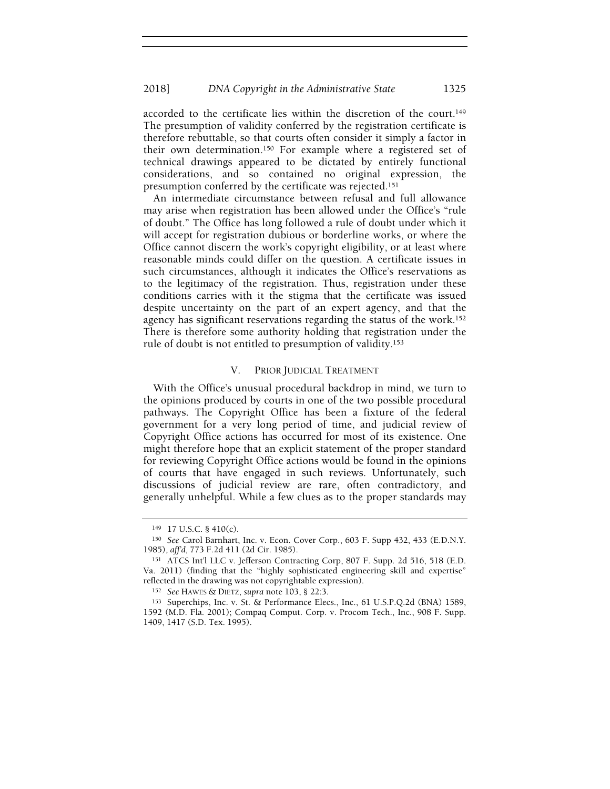accorded to the certificate lies within the discretion of the court.<sup>149</sup> The presumption of validity conferred by the registration certificate is therefore rebuttable, so that courts often consider it simply a factor in their own determination.150 For example where a registered set of technical drawings appeared to be dictated by entirely functional considerations, and so contained no original expression, the presumption conferred by the certificate was rejected.<sup>151</sup>

An intermediate circumstance between refusal and full allowance may arise when registration has been allowed under the Office's "rule of doubt." The Office has long followed a rule of doubt under which it will accept for registration dubious or borderline works, or where the Office cannot discern the work's copyright eligibility, or at least where reasonable minds could differ on the question. A certificate issues in such circumstances, although it indicates the Office's reservations as to the legitimacy of the registration. Thus, registration under these conditions carries with it the stigma that the certificate was issued despite uncertainty on the part of an expert agency, and that the agency has significant reservations regarding the status of the work.<sup>152</sup> There is therefore some authority holding that registration under the rule of doubt is not entitled to presumption of validity.<sup>153</sup>

## V. PRIOR JUDICIAL TREATMENT

With the Office's unusual procedural backdrop in mind, we turn to the opinions produced by courts in one of the two possible procedural pathways. The Copyright Office has been a fixture of the federal government for a very long period of time, and judicial review of Copyright Office actions has occurred for most of its existence. One might therefore hope that an explicit statement of the proper standard for reviewing Copyright Office actions would be found in the opinions of courts that have engaged in such reviews. Unfortunately, such discussions of judicial review are rare, often contradictory, and generally unhelpful. While a few clues as to the proper standards may

<sup>149</sup> 17 U.S.C. § 410(c).

<sup>150</sup> See Carol Barnhart, Inc. v. Econ. Cover Corp., 603 F. Supp 432, 433 (E.D.N.Y. 1985), aff'd, 773 F.2d 411 (2d Cir. 1985).

<sup>151</sup> ATCS Int'l LLC v. Jefferson Contracting Corp, 807 F. Supp. 2d 516, 518 (E.D. Va. 2011) (finding that the "highly sophisticated engineering skill and expertise" reflected in the drawing was not copyrightable expression).

<sup>152</sup> See HAWES & DIETZ, supra note 103, § 22:3.

<sup>153</sup> Superchips, Inc. v. St. & Performance Elecs., Inc., 61 U.S.P.Q.2d (BNA) 1589, 1592 (M.D. Fla. 2001); Compaq Comput. Corp. v. Procom Tech., Inc., 908 F. Supp. 1409, 1417 (S.D. Tex. 1995).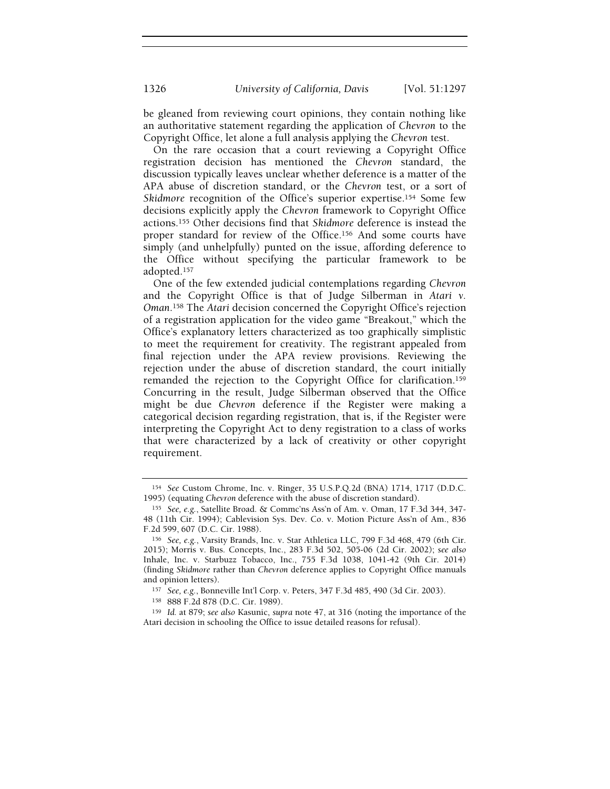be gleaned from reviewing court opinions, they contain nothing like an authoritative statement regarding the application of Chevron to the Copyright Office, let alone a full analysis applying the Chevron test.

On the rare occasion that a court reviewing a Copyright Office registration decision has mentioned the Chevron standard, the discussion typically leaves unclear whether deference is a matter of the APA abuse of discretion standard, or the Chevron test, or a sort of Skidmore recognition of the Office's superior expertise.<sup>154</sup> Some few decisions explicitly apply the Chevron framework to Copyright Office actions.155 Other decisions find that Skidmore deference is instead the proper standard for review of the Office.156 And some courts have simply (and unhelpfully) punted on the issue, affording deference to the Office without specifying the particular framework to be adopted.<sup>157</sup>

One of the few extended judicial contemplations regarding Chevron and the Copyright Office is that of Judge Silberman in Atari v. Oman.158 The Atari decision concerned the Copyright Office's rejection of a registration application for the video game "Breakout," which the Office's explanatory letters characterized as too graphically simplistic to meet the requirement for creativity. The registrant appealed from final rejection under the APA review provisions. Reviewing the rejection under the abuse of discretion standard, the court initially remanded the rejection to the Copyright Office for clarification.<sup>159</sup> Concurring in the result, Judge Silberman observed that the Office might be due Chevron deference if the Register were making a categorical decision regarding registration, that is, if the Register were interpreting the Copyright Act to deny registration to a class of works that were characterized by a lack of creativity or other copyright requirement.

<sup>154</sup> See Custom Chrome, Inc. v. Ringer, 35 U.S.P.Q.2d (BNA) 1714, 1717 (D.D.C. 1995) (equating Chevron deference with the abuse of discretion standard).

<sup>155</sup> See, e.g., Satellite Broad. & Commc'ns Ass'n of Am. v. Oman, 17 F.3d 344, 347- 48 (11th Cir. 1994); Cablevision Sys. Dev. Co. v. Motion Picture Ass'n of Am., 836 F.2d 599, 607 (D.C. Cir. 1988).

<sup>156</sup> See, e.g., Varsity Brands, Inc. v. Star Athletica LLC, 799 F.3d 468, 479 (6th Cir. 2015); Morris v. Bus. Concepts, Inc., 283 F.3d 502, 505-06 (2d Cir. 2002); see also Inhale, Inc. v. Starbuzz Tobacco, Inc., 755 F.3d 1038, 1041-42 (9th Cir. 2014) (finding Skidmore rather than Chevron deference applies to Copyright Office manuals and opinion letters).

<sup>157</sup> See, e.g., Bonneville Int'l Corp. v. Peters, 347 F.3d 485, 490 (3d Cir. 2003).

<sup>158</sup> 888 F.2d 878 (D.C. Cir. 1989).

<sup>159</sup> Id. at 879; see also Kasunic, supra note 47, at 316 (noting the importance of the Atari decision in schooling the Office to issue detailed reasons for refusal).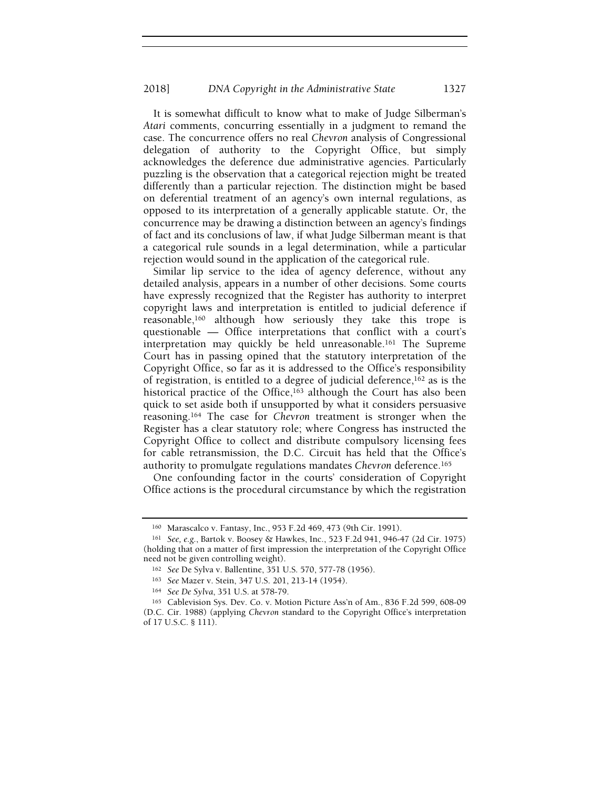It is somewhat difficult to know what to make of Judge Silberman's Atari comments, concurring essentially in a judgment to remand the case. The concurrence offers no real Chevron analysis of Congressional delegation of authority to the Copyright Office, but simply acknowledges the deference due administrative agencies. Particularly puzzling is the observation that a categorical rejection might be treated differently than a particular rejection. The distinction might be based on deferential treatment of an agency's own internal regulations, as opposed to its interpretation of a generally applicable statute. Or, the concurrence may be drawing a distinction between an agency's findings of fact and its conclusions of law, if what Judge Silberman meant is that a categorical rule sounds in a legal determination, while a particular rejection would sound in the application of the categorical rule.

Similar lip service to the idea of agency deference, without any detailed analysis, appears in a number of other decisions. Some courts have expressly recognized that the Register has authority to interpret copyright laws and interpretation is entitled to judicial deference if reasonable,160 although how seriously they take this trope is questionable — Office interpretations that conflict with a court's interpretation may quickly be held unreasonable.161 The Supreme Court has in passing opined that the statutory interpretation of the Copyright Office, so far as it is addressed to the Office's responsibility of registration, is entitled to a degree of judicial deference,162 as is the historical practice of the Office,<sup>163</sup> although the Court has also been quick to set aside both if unsupported by what it considers persuasive reasoning.164 The case for Chevron treatment is stronger when the Register has a clear statutory role; where Congress has instructed the Copyright Office to collect and distribute compulsory licensing fees for cable retransmission, the D.C. Circuit has held that the Office's authority to promulgate regulations mandates Chevron deference.<sup>165</sup>

One confounding factor in the courts' consideration of Copyright Office actions is the procedural circumstance by which the registration

<sup>160</sup> Marascalco v. Fantasy, Inc., 953 F.2d 469, 473 (9th Cir. 1991).

<sup>161</sup> See, e.g., Bartok v. Boosey & Hawkes, Inc., 523 F.2d 941, 946-47 (2d Cir. 1975) (holding that on a matter of first impression the interpretation of the Copyright Office need not be given controlling weight).

<sup>162</sup> See De Sylva v. Ballentine, 351 U.S. 570, 577-78 (1956).

<sup>163</sup> See Mazer v. Stein, 347 U.S. 201, 213-14 (1954).

<sup>164</sup> See De Sylva, 351 U.S. at 578-79.

<sup>165</sup> Cablevision Sys. Dev. Co. v. Motion Picture Ass'n of Am., 836 F.2d 599, 608-09

<sup>(</sup>D.C. Cir. 1988) (applying Chevron standard to the Copyright Office's interpretation of 17 U.S.C. § 111).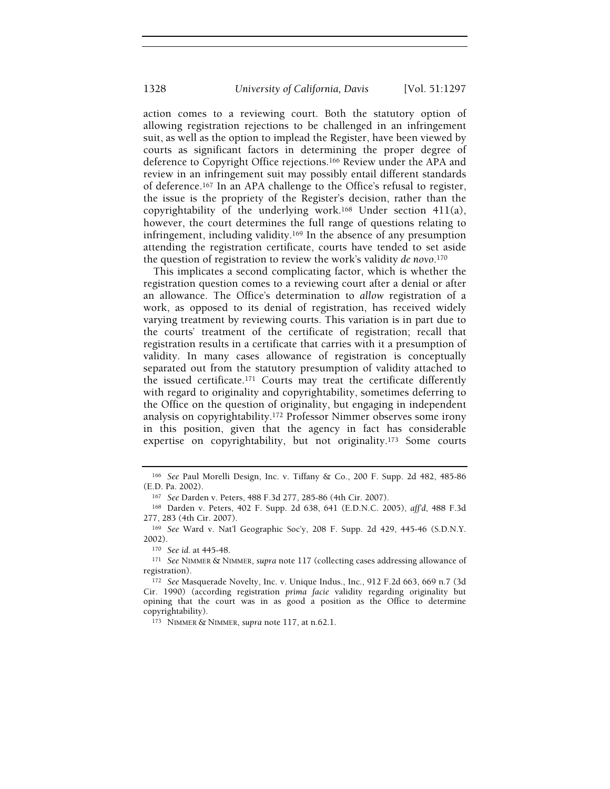action comes to a reviewing court. Both the statutory option of allowing registration rejections to be challenged in an infringement suit, as well as the option to implead the Register, have been viewed by courts as significant factors in determining the proper degree of deference to Copyright Office rejections.166 Review under the APA and review in an infringement suit may possibly entail different standards of deference.167 In an APA challenge to the Office's refusal to register, the issue is the propriety of the Register's decision, rather than the copyrightability of the underlying work.<sup>168</sup> Under section  $411(a)$ , however, the court determines the full range of questions relating to infringement, including validity.169 In the absence of any presumption attending the registration certificate, courts have tended to set aside the question of registration to review the work's validity de novo.<sup>170</sup>

This implicates a second complicating factor, which is whether the registration question comes to a reviewing court after a denial or after an allowance. The Office's determination to allow registration of a work, as opposed to its denial of registration, has received widely varying treatment by reviewing courts. This variation is in part due to the courts' treatment of the certificate of registration; recall that registration results in a certificate that carries with it a presumption of validity. In many cases allowance of registration is conceptually separated out from the statutory presumption of validity attached to the issued certificate.171 Courts may treat the certificate differently with regard to originality and copyrightability, sometimes deferring to the Office on the question of originality, but engaging in independent analysis on copyrightability.172 Professor Nimmer observes some irony in this position, given that the agency in fact has considerable expertise on copyrightability, but not originality.173 Some courts

<sup>166</sup> See Paul Morelli Design, Inc. v. Tiffany & Co., 200 F. Supp. 2d 482, 485-86 (E.D. Pa. 2002).

<sup>167</sup> See Darden v. Peters, 488 F.3d 277, 285-86 (4th Cir. 2007).

<sup>168</sup> Darden v. Peters, 402 F. Supp. 2d 638, 641 (E.D.N.C. 2005), aff'd, 488 F.3d 277, 283 (4th Cir. 2007).

<sup>169</sup> See Ward v. Nat'l Geographic Soc'y, 208 F. Supp. 2d 429, 445-46 (S.D.N.Y. 2002).

<sup>170</sup> See id. at 445-48.

<sup>171</sup> See NIMMER & NIMMER, supra note 117 (collecting cases addressing allowance of registration).

<sup>172</sup> See Masquerade Novelty, Inc. v. Unique Indus., Inc., 912 F.2d 663, 669 n.7 (3d Cir. 1990) (according registration prima facie validity regarding originality but opining that the court was in as good a position as the Office to determine copyrightability).

<sup>173</sup> NIMMER & NIMMER, supra note 117, at n.62.1.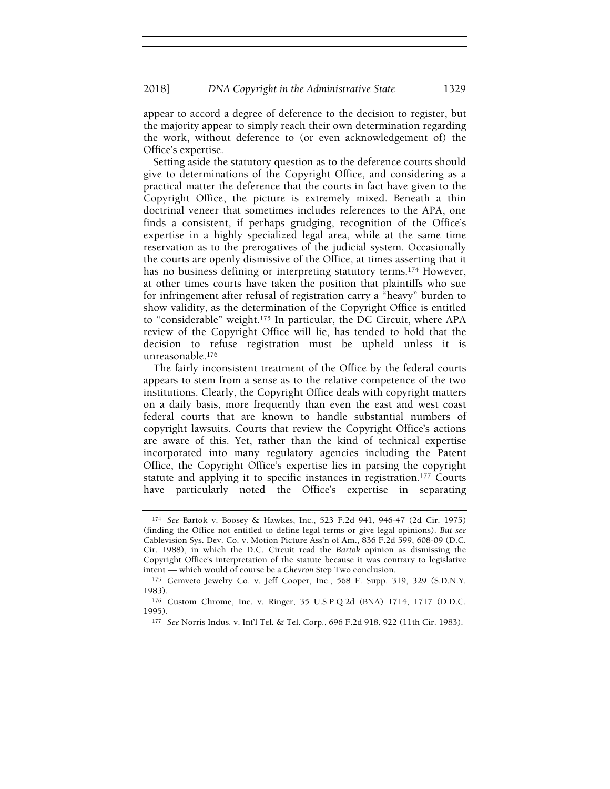appear to accord a degree of deference to the decision to register, but the majority appear to simply reach their own determination regarding the work, without deference to (or even acknowledgement of) the Office's expertise.

Setting aside the statutory question as to the deference courts should give to determinations of the Copyright Office, and considering as a practical matter the deference that the courts in fact have given to the Copyright Office, the picture is extremely mixed. Beneath a thin doctrinal veneer that sometimes includes references to the APA, one finds a consistent, if perhaps grudging, recognition of the Office's expertise in a highly specialized legal area, while at the same time reservation as to the prerogatives of the judicial system. Occasionally the courts are openly dismissive of the Office, at times asserting that it has no business defining or interpreting statutory terms.<sup>174</sup> However, at other times courts have taken the position that plaintiffs who sue for infringement after refusal of registration carry a "heavy" burden to show validity, as the determination of the Copyright Office is entitled to "considerable" weight.175 In particular, the DC Circuit, where APA review of the Copyright Office will lie, has tended to hold that the decision to refuse registration must be upheld unless it is unreasonable.<sup>176</sup>

The fairly inconsistent treatment of the Office by the federal courts appears to stem from a sense as to the relative competence of the two institutions. Clearly, the Copyright Office deals with copyright matters on a daily basis, more frequently than even the east and west coast federal courts that are known to handle substantial numbers of copyright lawsuits. Courts that review the Copyright Office's actions are aware of this. Yet, rather than the kind of technical expertise incorporated into many regulatory agencies including the Patent Office, the Copyright Office's expertise lies in parsing the copyright statute and applying it to specific instances in registration.<sup>177</sup> Courts have particularly noted the Office's expertise in separating

<sup>174</sup> See Bartok v. Boosey & Hawkes, Inc., 523 F.2d 941, 946-47 (2d Cir. 1975) (finding the Office not entitled to define legal terms or give legal opinions). But see Cablevision Sys. Dev. Co. v. Motion Picture Ass'n of Am., 836 F.2d 599, 608-09 (D.C. Cir. 1988), in which the D.C. Circuit read the Bartok opinion as dismissing the Copyright Office's interpretation of the statute because it was contrary to legislative intent — which would of course be a Chevron Step Two conclusion.

<sup>175</sup> Gemveto Jewelry Co. v. Jeff Cooper, Inc., 568 F. Supp. 319, 329 (S.D.N.Y. 1983).

<sup>176</sup> Custom Chrome, Inc. v. Ringer, 35 U.S.P.Q.2d (BNA) 1714, 1717 (D.D.C. 1995).

<sup>177</sup> See Norris Indus. v. Int'l Tel. & Tel. Corp., 696 F.2d 918, 922 (11th Cir. 1983).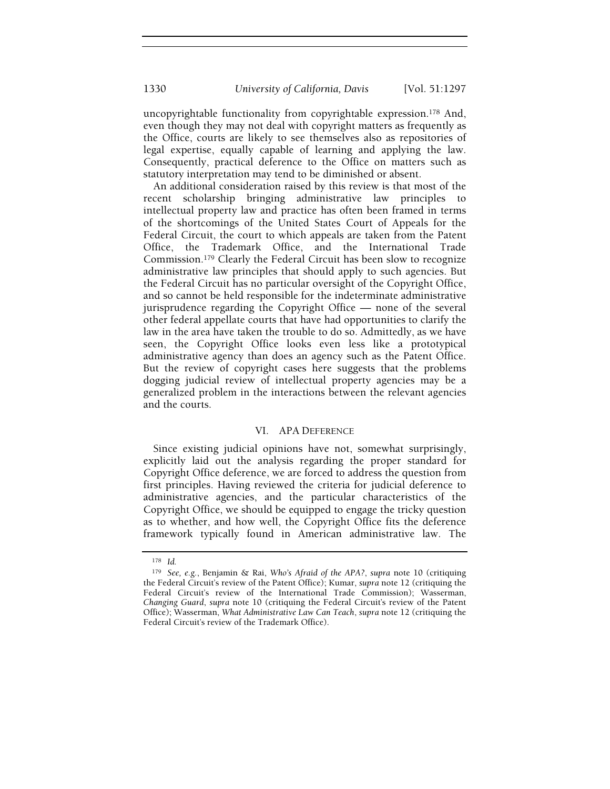uncopyrightable functionality from copyrightable expression.178 And, even though they may not deal with copyright matters as frequently as the Office, courts are likely to see themselves also as repositories of legal expertise, equally capable of learning and applying the law. Consequently, practical deference to the Office on matters such as statutory interpretation may tend to be diminished or absent.

An additional consideration raised by this review is that most of the recent scholarship bringing administrative law principles to intellectual property law and practice has often been framed in terms of the shortcomings of the United States Court of Appeals for the Federal Circuit, the court to which appeals are taken from the Patent Office, the Trademark Office, and the International Trade Commission.179 Clearly the Federal Circuit has been slow to recognize administrative law principles that should apply to such agencies. But the Federal Circuit has no particular oversight of the Copyright Office, and so cannot be held responsible for the indeterminate administrative jurisprudence regarding the Copyright Office — none of the several other federal appellate courts that have had opportunities to clarify the law in the area have taken the trouble to do so. Admittedly, as we have seen, the Copyright Office looks even less like a prototypical administrative agency than does an agency such as the Patent Office. But the review of copyright cases here suggests that the problems dogging judicial review of intellectual property agencies may be a generalized problem in the interactions between the relevant agencies and the courts.

#### VI. APA DEFERENCE

Since existing judicial opinions have not, somewhat surprisingly, explicitly laid out the analysis regarding the proper standard for Copyright Office deference, we are forced to address the question from first principles. Having reviewed the criteria for judicial deference to administrative agencies, and the particular characteristics of the Copyright Office, we should be equipped to engage the tricky question as to whether, and how well, the Copyright Office fits the deference framework typically found in American administrative law. The

<sup>178</sup> Id.

<sup>179</sup> See, e.g., Benjamin & Rai, Who's Afraid of the APA?, supra note 10 (critiquing the Federal Circuit's review of the Patent Office); Kumar, supra note 12 (critiquing the Federal Circuit's review of the International Trade Commission); Wasserman, Changing Guard, supra note 10 (critiquing the Federal Circuit's review of the Patent Office); Wasserman, What Administrative Law Can Teach, supra note 12 (critiquing the Federal Circuit's review of the Trademark Office).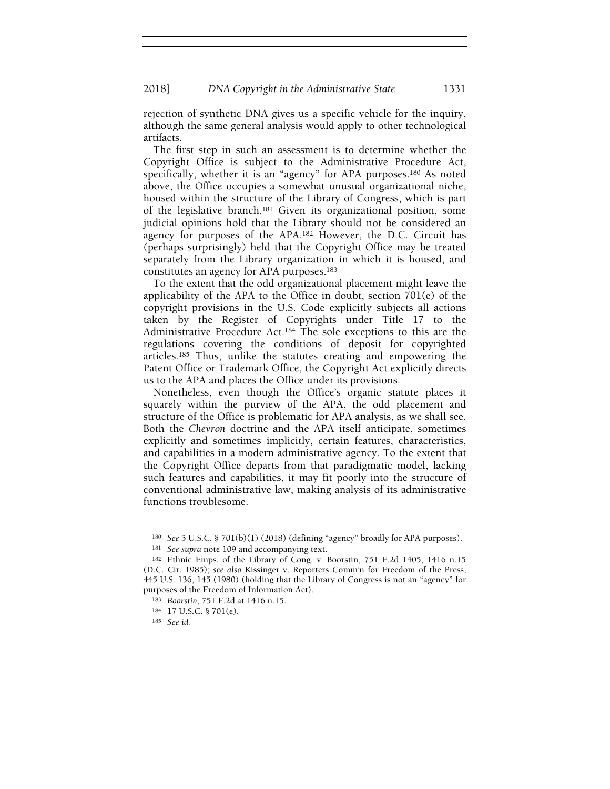rejection of synthetic DNA gives us a specific vehicle for the inquiry, although the same general analysis would apply to other technological artifacts.

The first step in such an assessment is to determine whether the Copyright Office is subject to the Administrative Procedure Act, specifically, whether it is an "agency" for APA purposes.180 As noted above, the Office occupies a somewhat unusual organizational niche, housed within the structure of the Library of Congress, which is part of the legislative branch.181 Given its organizational position, some judicial opinions hold that the Library should not be considered an agency for purposes of the APA.182 However, the D.C. Circuit has (perhaps surprisingly) held that the Copyright Office may be treated separately from the Library organization in which it is housed, and constitutes an agency for APA purposes.<sup>183</sup>

To the extent that the odd organizational placement might leave the applicability of the APA to the Office in doubt, section 701(e) of the copyright provisions in the U.S. Code explicitly subjects all actions taken by the Register of Copyrights under Title 17 to the Administrative Procedure Act.184 The sole exceptions to this are the regulations covering the conditions of deposit for copyrighted articles.185 Thus, unlike the statutes creating and empowering the Patent Office or Trademark Office, the Copyright Act explicitly directs us to the APA and places the Office under its provisions.

Nonetheless, even though the Office's organic statute places it squarely within the purview of the APA, the odd placement and structure of the Office is problematic for APA analysis, as we shall see. Both the Chevron doctrine and the APA itself anticipate, sometimes explicitly and sometimes implicitly, certain features, characteristics, and capabilities in a modern administrative agency. To the extent that the Copyright Office departs from that paradigmatic model, lacking such features and capabilities, it may fit poorly into the structure of conventional administrative law, making analysis of its administrative functions troublesome.

<sup>180</sup> See 5 U.S.C. § 701(b)(1) (2018) (defining "agency" broadly for APA purposes).

<sup>181</sup> See supra note 109 and accompanying text.

<sup>182</sup> Ethnic Emps. of the Library of Cong. v. Boorstin, 751 F.2d 1405, 1416 n.15 (D.C. Cir. 1985); see also Kissinger v. Reporters Comm'n for Freedom of the Press, 445 U.S. 136, 145 (1980) (holding that the Library of Congress is not an "agency" for purposes of the Freedom of Information Act).

<sup>183</sup> Boorstin, 751 F.2d at 1416 n.15.

<sup>184</sup> 17 U.S.C. § 701(e).

<sup>185</sup> See id.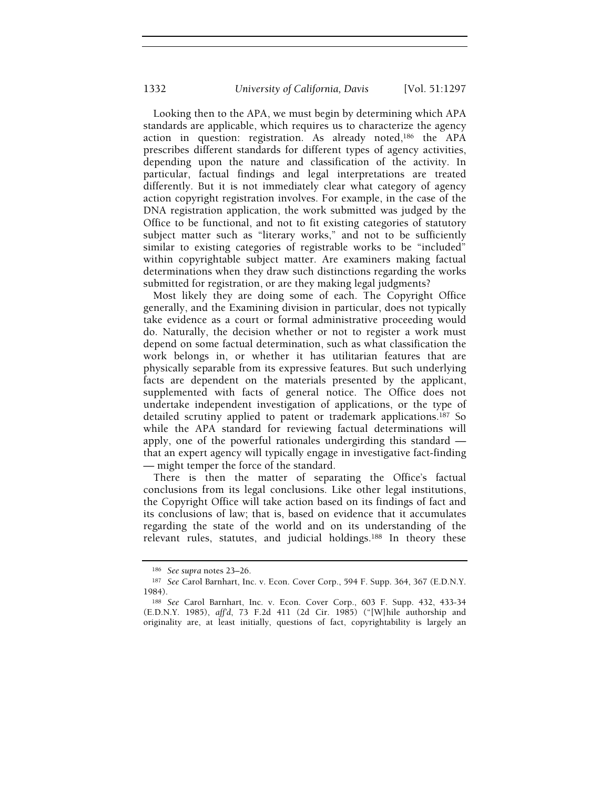Looking then to the APA, we must begin by determining which APA standards are applicable, which requires us to characterize the agency action in question: registration. As already noted,186 the APA prescribes different standards for different types of agency activities, depending upon the nature and classification of the activity. In particular, factual findings and legal interpretations are treated differently. But it is not immediately clear what category of agency action copyright registration involves. For example, in the case of the DNA registration application, the work submitted was judged by the Office to be functional, and not to fit existing categories of statutory subject matter such as "literary works," and not to be sufficiently similar to existing categories of registrable works to be "included" within copyrightable subject matter. Are examiners making factual determinations when they draw such distinctions regarding the works submitted for registration, or are they making legal judgments?

Most likely they are doing some of each. The Copyright Office generally, and the Examining division in particular, does not typically take evidence as a court or formal administrative proceeding would do. Naturally, the decision whether or not to register a work must depend on some factual determination, such as what classification the work belongs in, or whether it has utilitarian features that are physically separable from its expressive features. But such underlying facts are dependent on the materials presented by the applicant, supplemented with facts of general notice. The Office does not undertake independent investigation of applications, or the type of detailed scrutiny applied to patent or trademark applications.187 So while the APA standard for reviewing factual determinations will apply, one of the powerful rationales undergirding this standard that an expert agency will typically engage in investigative fact-finding — might temper the force of the standard.

There is then the matter of separating the Office's factual conclusions from its legal conclusions. Like other legal institutions, the Copyright Office will take action based on its findings of fact and its conclusions of law; that is, based on evidence that it accumulates regarding the state of the world and on its understanding of the relevant rules, statutes, and judicial holdings.188 In theory these

<sup>186</sup> See supra notes 23–26.

<sup>187</sup> See Carol Barnhart, Inc. v. Econ. Cover Corp., 594 F. Supp. 364, 367 (E.D.N.Y. 1984).

<sup>188</sup> See Carol Barnhart, Inc. v. Econ. Cover Corp., 603 F. Supp. 432, 433-34 (E.D.N.Y. 1985), aff'd, 73 F.2d 411 (2d Cir. 1985) ("[W]hile authorship and originality are, at least initially, questions of fact, copyrightability is largely an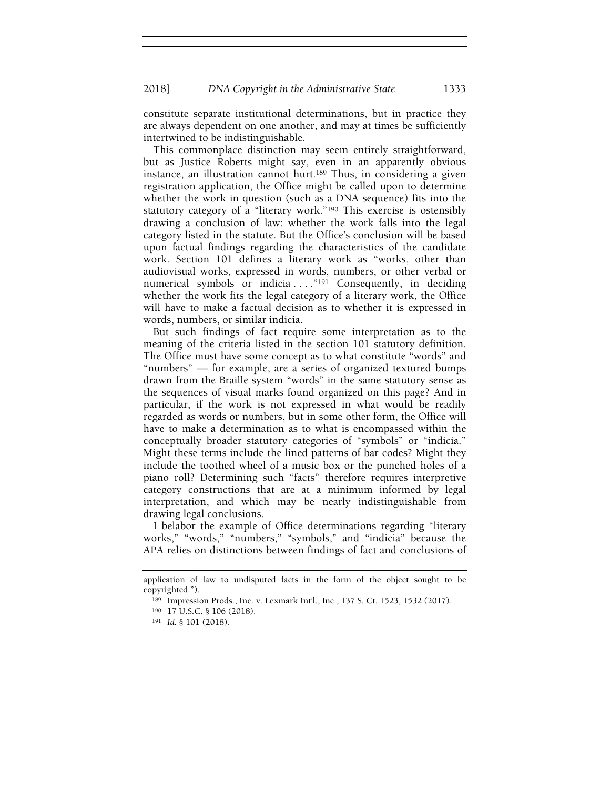constitute separate institutional determinations, but in practice they are always dependent on one another, and may at times be sufficiently intertwined to be indistinguishable.

This commonplace distinction may seem entirely straightforward, but as Justice Roberts might say, even in an apparently obvious instance, an illustration cannot hurt.189 Thus, in considering a given registration application, the Office might be called upon to determine whether the work in question (such as a DNA sequence) fits into the statutory category of a "literary work."190 This exercise is ostensibly drawing a conclusion of law: whether the work falls into the legal category listed in the statute. But the Office's conclusion will be based upon factual findings regarding the characteristics of the candidate work. Section 101 defines a literary work as "works, other than audiovisual works, expressed in words, numbers, or other verbal or numerical symbols or indicia . . . . "<sup>191</sup> Consequently, in deciding whether the work fits the legal category of a literary work, the Office will have to make a factual decision as to whether it is expressed in words, numbers, or similar indicia.

But such findings of fact require some interpretation as to the meaning of the criteria listed in the section 101 statutory definition. The Office must have some concept as to what constitute "words" and "numbers" — for example, are a series of organized textured bumps drawn from the Braille system "words" in the same statutory sense as the sequences of visual marks found organized on this page? And in particular, if the work is not expressed in what would be readily regarded as words or numbers, but in some other form, the Office will have to make a determination as to what is encompassed within the conceptually broader statutory categories of "symbols" or "indicia." Might these terms include the lined patterns of bar codes? Might they include the toothed wheel of a music box or the punched holes of a piano roll? Determining such "facts" therefore requires interpretive category constructions that are at a minimum informed by legal interpretation, and which may be nearly indistinguishable from drawing legal conclusions.

I belabor the example of Office determinations regarding "literary works," "words," "numbers," "symbols," and "indicia" because the APA relies on distinctions between findings of fact and conclusions of

application of law to undisputed facts in the form of the object sought to be copyrighted.").

<sup>189</sup> Impression Prods., Inc. v. Lexmark Int'l., Inc., 137 S. Ct. 1523, 1532 (2017).

<sup>190</sup> 17 U.S.C. § 106 (2018).

<sup>191</sup> Id. § 101 (2018).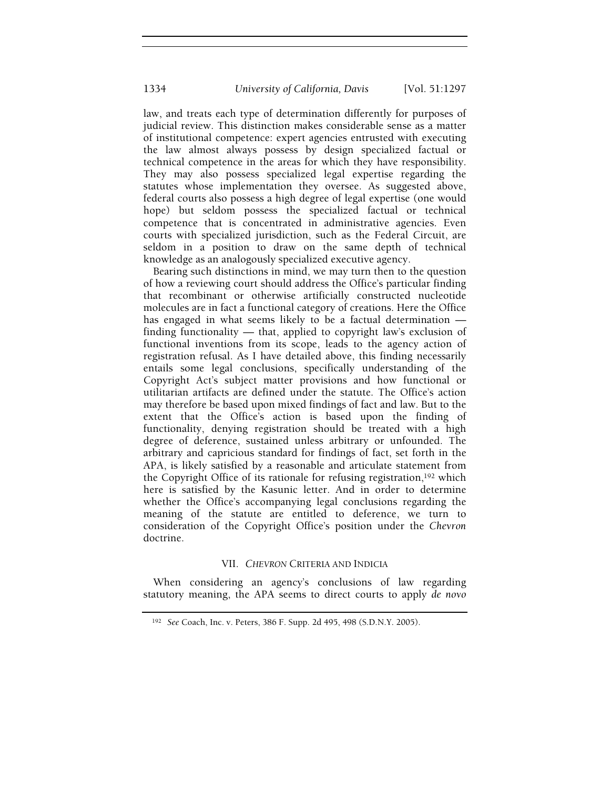law, and treats each type of determination differently for purposes of judicial review. This distinction makes considerable sense as a matter of institutional competence: expert agencies entrusted with executing the law almost always possess by design specialized factual or technical competence in the areas for which they have responsibility. They may also possess specialized legal expertise regarding the statutes whose implementation they oversee. As suggested above, federal courts also possess a high degree of legal expertise (one would hope) but seldom possess the specialized factual or technical competence that is concentrated in administrative agencies. Even courts with specialized jurisdiction, such as the Federal Circuit, are seldom in a position to draw on the same depth of technical knowledge as an analogously specialized executive agency.

Bearing such distinctions in mind, we may turn then to the question of how a reviewing court should address the Office's particular finding that recombinant or otherwise artificially constructed nucleotide molecules are in fact a functional category of creations. Here the Office has engaged in what seems likely to be a factual determination finding functionality — that, applied to copyright law's exclusion of functional inventions from its scope, leads to the agency action of registration refusal. As I have detailed above, this finding necessarily entails some legal conclusions, specifically understanding of the Copyright Act's subject matter provisions and how functional or utilitarian artifacts are defined under the statute. The Office's action may therefore be based upon mixed findings of fact and law. But to the extent that the Office's action is based upon the finding of functionality, denying registration should be treated with a high degree of deference, sustained unless arbitrary or unfounded. The arbitrary and capricious standard for findings of fact, set forth in the APA, is likely satisfied by a reasonable and articulate statement from the Copyright Office of its rationale for refusing registration,192 which here is satisfied by the Kasunic letter. And in order to determine whether the Office's accompanying legal conclusions regarding the meaning of the statute are entitled to deference, we turn to consideration of the Copyright Office's position under the Chevron doctrine.

## VII. CHEVRON CRITERIA AND INDICIA

When considering an agency's conclusions of law regarding statutory meaning, the APA seems to direct courts to apply de novo

<sup>192</sup> See Coach, Inc. v. Peters, 386 F. Supp. 2d 495, 498 (S.D.N.Y. 2005).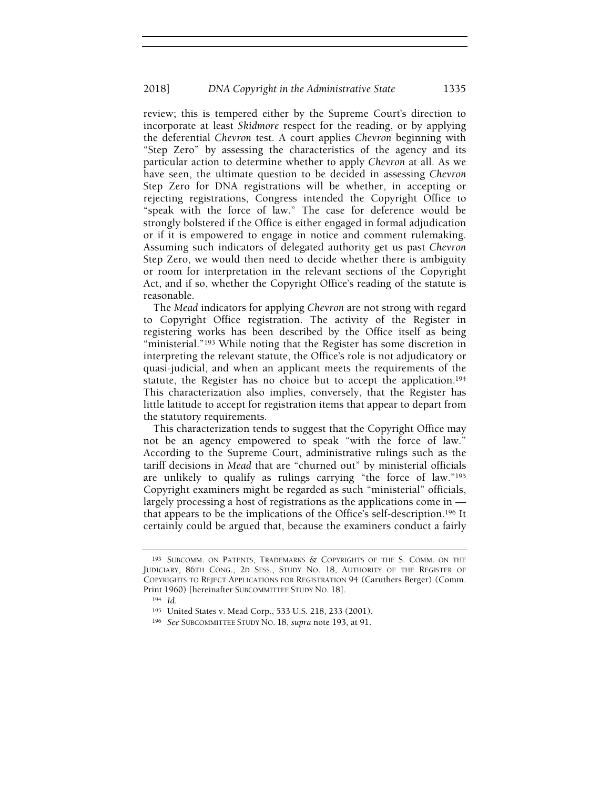review; this is tempered either by the Supreme Court's direction to incorporate at least Skidmore respect for the reading, or by applying the deferential Chevron test. A court applies Chevron beginning with "Step Zero" by assessing the characteristics of the agency and its particular action to determine whether to apply Chevron at all. As we have seen, the ultimate question to be decided in assessing Chevron Step Zero for DNA registrations will be whether, in accepting or rejecting registrations, Congress intended the Copyright Office to "speak with the force of law." The case for deference would be strongly bolstered if the Office is either engaged in formal adjudication or if it is empowered to engage in notice and comment rulemaking. Assuming such indicators of delegated authority get us past Chevron Step Zero, we would then need to decide whether there is ambiguity or room for interpretation in the relevant sections of the Copyright Act, and if so, whether the Copyright Office's reading of the statute is reasonable.

The Mead indicators for applying Chevron are not strong with regard to Copyright Office registration. The activity of the Register in registering works has been described by the Office itself as being "ministerial."<sup>193</sup> While noting that the Register has some discretion in interpreting the relevant statute, the Office's role is not adjudicatory or quasi-judicial, and when an applicant meets the requirements of the statute, the Register has no choice but to accept the application.<sup>194</sup> This characterization also implies, conversely, that the Register has little latitude to accept for registration items that appear to depart from the statutory requirements.

This characterization tends to suggest that the Copyright Office may not be an agency empowered to speak "with the force of law." According to the Supreme Court, administrative rulings such as the tariff decisions in Mead that are "churned out" by ministerial officials are unlikely to qualify as rulings carrying "the force of law."<sup>195</sup> Copyright examiners might be regarded as such "ministerial" officials, largely processing a host of registrations as the applications come in that appears to be the implications of the Office's self-description.196 It certainly could be argued that, because the examiners conduct a fairly

<sup>193</sup> SUBCOMM. ON PATENTS, TRADEMARKS & COPYRIGHTS OF THE S. COMM. ON THE JUDICIARY, 86TH CONG., 2D SESS., STUDY NO. 18, AUTHORITY OF THE REGISTER OF COPYRIGHTS TO REJECT APPLICATIONS FOR REGISTRATION 94 (Caruthers Berger) (Comm. Print 1960) [hereinafter SUBCOMMITTEE STUDY NO. 18].

<sup>194</sup> Id.

<sup>195</sup> United States v. Mead Corp., 533 U.S. 218, 233 (2001).

<sup>196</sup> See SUBCOMMITTEE STUDY NO. 18, supra note 193, at 91.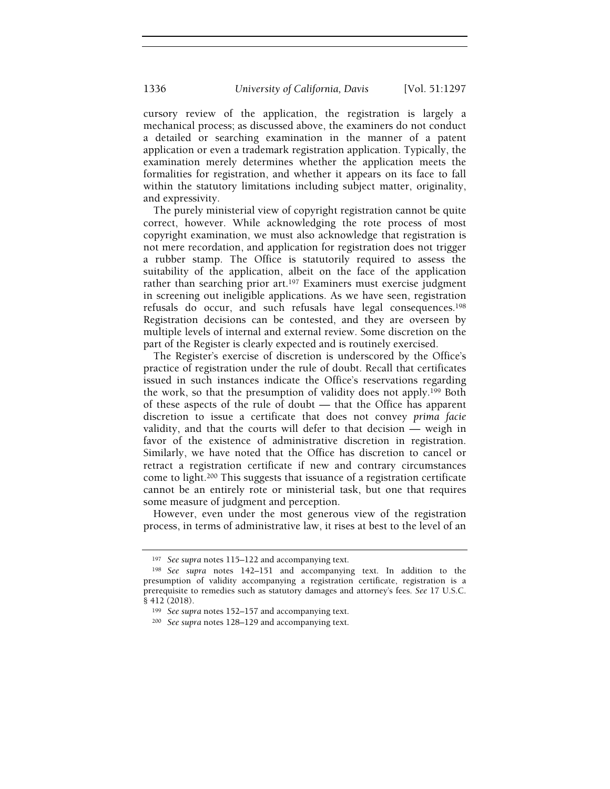cursory review of the application, the registration is largely a mechanical process; as discussed above, the examiners do not conduct a detailed or searching examination in the manner of a patent application or even a trademark registration application. Typically, the examination merely determines whether the application meets the formalities for registration, and whether it appears on its face to fall within the statutory limitations including subject matter, originality, and expressivity.

The purely ministerial view of copyright registration cannot be quite correct, however. While acknowledging the rote process of most copyright examination, we must also acknowledge that registration is not mere recordation, and application for registration does not trigger a rubber stamp. The Office is statutorily required to assess the suitability of the application, albeit on the face of the application rather than searching prior art.<sup>197</sup> Examiners must exercise judgment in screening out ineligible applications. As we have seen, registration refusals do occur, and such refusals have legal consequences.<sup>198</sup> Registration decisions can be contested, and they are overseen by multiple levels of internal and external review. Some discretion on the part of the Register is clearly expected and is routinely exercised.

The Register's exercise of discretion is underscored by the Office's practice of registration under the rule of doubt. Recall that certificates issued in such instances indicate the Office's reservations regarding the work, so that the presumption of validity does not apply.199 Both of these aspects of the rule of doubt — that the Office has apparent discretion to issue a certificate that does not convey prima facie validity, and that the courts will defer to that decision — weigh in favor of the existence of administrative discretion in registration. Similarly, we have noted that the Office has discretion to cancel or retract a registration certificate if new and contrary circumstances come to light.200 This suggests that issuance of a registration certificate cannot be an entirely rote or ministerial task, but one that requires some measure of judgment and perception.

However, even under the most generous view of the registration process, in terms of administrative law, it rises at best to the level of an

<sup>197</sup> See supra notes 115–122 and accompanying text.

<sup>198</sup> See supra notes 142–151 and accompanying text. In addition to the presumption of validity accompanying a registration certificate, registration is a prerequisite to remedies such as statutory damages and attorney's fees. See 17 U.S.C. § 412 (2018).

<sup>199</sup> See supra notes 152–157 and accompanying text.

<sup>200</sup> See supra notes 128–129 and accompanying text.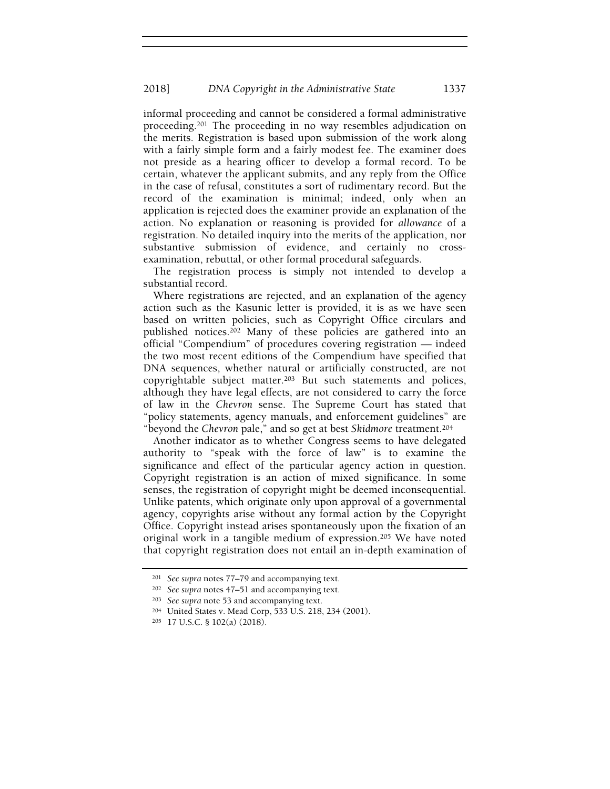informal proceeding and cannot be considered a formal administrative proceeding.201 The proceeding in no way resembles adjudication on the merits. Registration is based upon submission of the work along with a fairly simple form and a fairly modest fee. The examiner does not preside as a hearing officer to develop a formal record. To be certain, whatever the applicant submits, and any reply from the Office in the case of refusal, constitutes a sort of rudimentary record. But the record of the examination is minimal; indeed, only when an application is rejected does the examiner provide an explanation of the action. No explanation or reasoning is provided for allowance of a registration. No detailed inquiry into the merits of the application, nor substantive submission of evidence, and certainly no crossexamination, rebuttal, or other formal procedural safeguards.

The registration process is simply not intended to develop a substantial record.

Where registrations are rejected, and an explanation of the agency action such as the Kasunic letter is provided, it is as we have seen based on written policies, such as Copyright Office circulars and published notices.202 Many of these policies are gathered into an official "Compendium" of procedures covering registration — indeed the two most recent editions of the Compendium have specified that DNA sequences, whether natural or artificially constructed, are not copyrightable subject matter.203 But such statements and polices, although they have legal effects, are not considered to carry the force of law in the Chevron sense. The Supreme Court has stated that "policy statements, agency manuals, and enforcement guidelines" are "beyond the Chevron pale," and so get at best Skidmore treatment.<sup>204</sup>

Another indicator as to whether Congress seems to have delegated authority to "speak with the force of law" is to examine the significance and effect of the particular agency action in question. Copyright registration is an action of mixed significance. In some senses, the registration of copyright might be deemed inconsequential. Unlike patents, which originate only upon approval of a governmental agency, copyrights arise without any formal action by the Copyright Office. Copyright instead arises spontaneously upon the fixation of an original work in a tangible medium of expression.205 We have noted that copyright registration does not entail an in-depth examination of

<sup>201</sup> See supra notes 77–79 and accompanying text.

<sup>202</sup> See supra notes 47–51 and accompanying text.

<sup>203</sup> See supra note 53 and accompanying text.

<sup>204</sup> United States v. Mead Corp, 533 U.S. 218, 234 (2001).

<sup>205</sup> 17 U.S.C. § 102(a) (2018).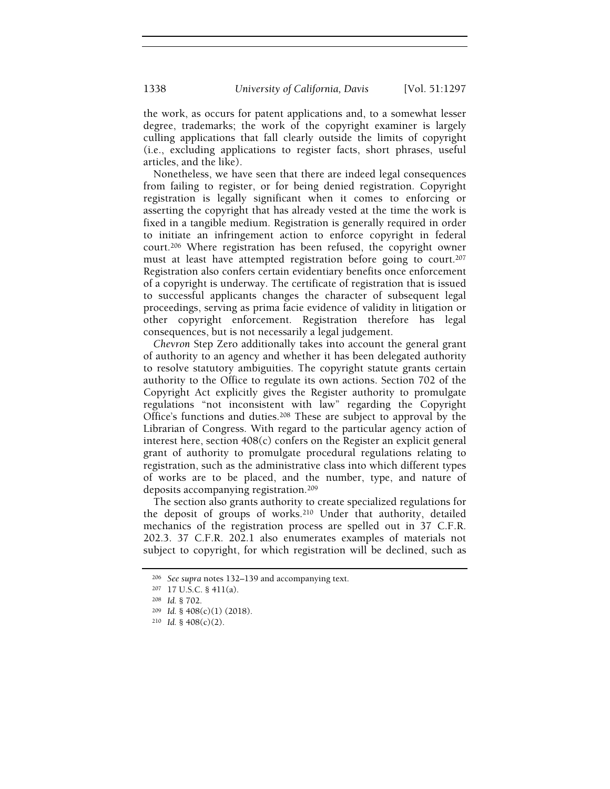the work, as occurs for patent applications and, to a somewhat lesser degree, trademarks; the work of the copyright examiner is largely culling applications that fall clearly outside the limits of copyright (i.e., excluding applications to register facts, short phrases, useful articles, and the like).

Nonetheless, we have seen that there are indeed legal consequences from failing to register, or for being denied registration. Copyright registration is legally significant when it comes to enforcing or asserting the copyright that has already vested at the time the work is fixed in a tangible medium. Registration is generally required in order to initiate an infringement action to enforce copyright in federal court.206 Where registration has been refused, the copyright owner must at least have attempted registration before going to court.<sup>207</sup> Registration also confers certain evidentiary benefits once enforcement of a copyright is underway. The certificate of registration that is issued to successful applicants changes the character of subsequent legal proceedings, serving as prima facie evidence of validity in litigation or other copyright enforcement. Registration therefore has legal consequences, but is not necessarily a legal judgement.

Chevron Step Zero additionally takes into account the general grant of authority to an agency and whether it has been delegated authority to resolve statutory ambiguities. The copyright statute grants certain authority to the Office to regulate its own actions. Section 702 of the Copyright Act explicitly gives the Register authority to promulgate regulations "not inconsistent with law" regarding the Copyright Office's functions and duties.208 These are subject to approval by the Librarian of Congress. With regard to the particular agency action of interest here, section 408(c) confers on the Register an explicit general grant of authority to promulgate procedural regulations relating to registration, such as the administrative class into which different types of works are to be placed, and the number, type, and nature of deposits accompanying registration.<sup>209</sup>

The section also grants authority to create specialized regulations for the deposit of groups of works.210 Under that authority, detailed mechanics of the registration process are spelled out in 37 C.F.R. 202.3. 37 C.F.R. 202.1 also enumerates examples of materials not subject to copyright, for which registration will be declined, such as

<sup>206</sup> See supra notes 132–139 and accompanying text.

<sup>207</sup> 17 U.S.C. § 411(a).

<sup>208</sup> Id. § 702.

<sup>209</sup> Id. § 408(c)(1) (2018).

 $210$  *Id.* §  $408(c)(2)$ .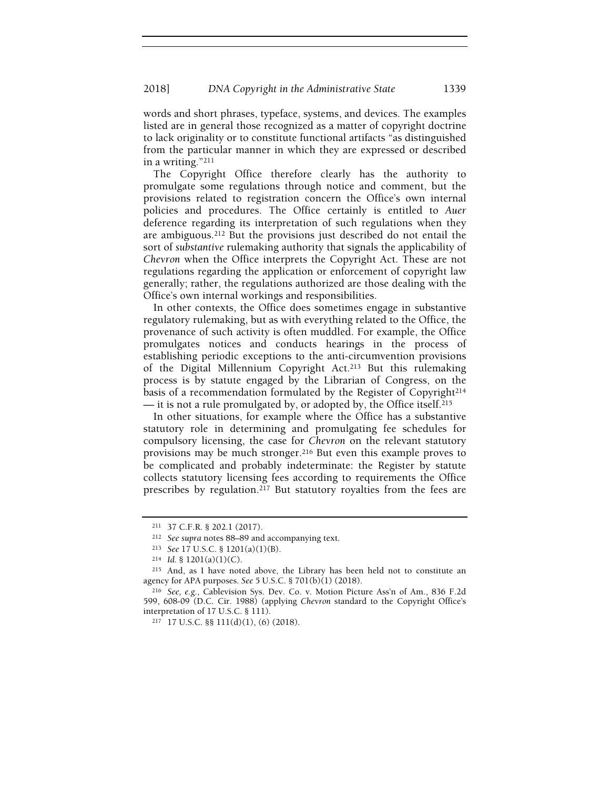words and short phrases, typeface, systems, and devices. The examples listed are in general those recognized as a matter of copyright doctrine to lack originality or to constitute functional artifacts "as distinguished from the particular manner in which they are expressed or described in a writing."<sup>211</sup>

The Copyright Office therefore clearly has the authority to promulgate some regulations through notice and comment, but the provisions related to registration concern the Office's own internal policies and procedures. The Office certainly is entitled to Auer deference regarding its interpretation of such regulations when they are ambiguous.212 But the provisions just described do not entail the sort of substantive rulemaking authority that signals the applicability of Chevron when the Office interprets the Copyright Act. These are not regulations regarding the application or enforcement of copyright law generally; rather, the regulations authorized are those dealing with the Office's own internal workings and responsibilities.

In other contexts, the Office does sometimes engage in substantive regulatory rulemaking, but as with everything related to the Office, the provenance of such activity is often muddled. For example, the Office promulgates notices and conducts hearings in the process of establishing periodic exceptions to the anti-circumvention provisions of the Digital Millennium Copyright Act.213 But this rulemaking process is by statute engaged by the Librarian of Congress, on the basis of a recommendation formulated by the Register of Copyright<sup>214</sup> — it is not a rule promulgated by, or adopted by, the Office itself.<sup>215</sup>

In other situations, for example where the Office has a substantive statutory role in determining and promulgating fee schedules for compulsory licensing, the case for Chevron on the relevant statutory provisions may be much stronger.216 But even this example proves to be complicated and probably indeterminate: the Register by statute collects statutory licensing fees according to requirements the Office prescribes by regulation.217 But statutory royalties from the fees are

<sup>211</sup> 37 C.F.R. § 202.1 (2017).

<sup>212</sup> See supra notes 88–89 and accompanying text.

<sup>213</sup> See 17 U.S.C. § 1201(a)(1)(B).

 $214$  *Id.* § 1201(a)(1)(C).

<sup>215</sup> And, as I have noted above, the Library has been held not to constitute an agency for APA purposes. See 5 U.S.C. § 701(b)(1) (2018).

<sup>216</sup> See, e.g., Cablevision Sys. Dev. Co. v. Motion Picture Ass'n of Am., 836 F.2d 599, 608-09 (D.C. Cir. 1988) (applying Chevron standard to the Copyright Office's interpretation of 17 U.S.C. § 111).

<sup>217</sup> 17 U.S.C. §§ 111(d)(1), (6) (2018).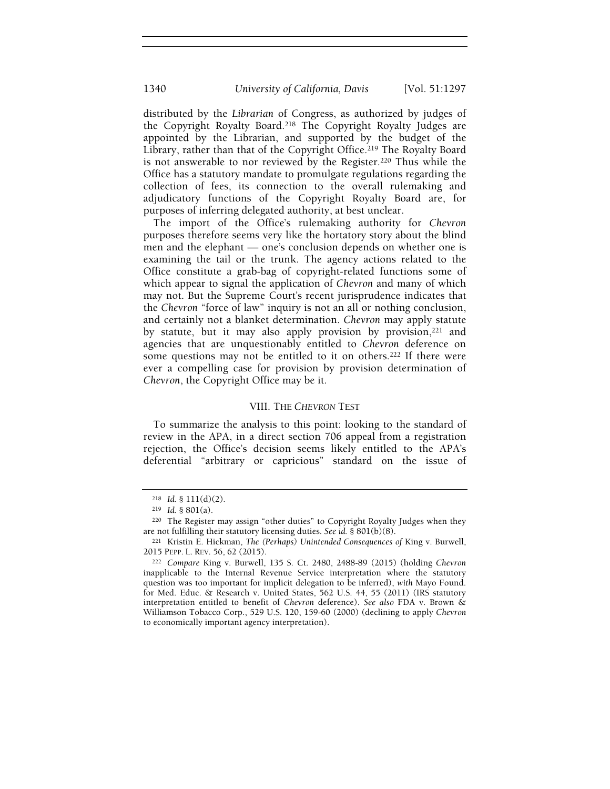distributed by the Librarian of Congress, as authorized by judges of the Copyright Royalty Board.218 The Copyright Royalty Judges are appointed by the Librarian, and supported by the budget of the Library, rather than that of the Copyright Office.<sup>219</sup> The Royalty Board is not answerable to nor reviewed by the Register.220 Thus while the Office has a statutory mandate to promulgate regulations regarding the collection of fees, its connection to the overall rulemaking and adjudicatory functions of the Copyright Royalty Board are, for purposes of inferring delegated authority, at best unclear.

The import of the Office's rulemaking authority for Chevron purposes therefore seems very like the hortatory story about the blind men and the elephant — one's conclusion depends on whether one is examining the tail or the trunk. The agency actions related to the Office constitute a grab-bag of copyright-related functions some of which appear to signal the application of Chevron and many of which may not. But the Supreme Court's recent jurisprudence indicates that the Chevron "force of law" inquiry is not an all or nothing conclusion, and certainly not a blanket determination. Chevron may apply statute by statute, but it may also apply provision by provision,<sup>221</sup> and agencies that are unquestionably entitled to Chevron deference on some questions may not be entitled to it on others.<sup>222</sup> If there were ever a compelling case for provision by provision determination of Chevron, the Copyright Office may be it.

#### VIII. THE CHEVRON TEST

To summarize the analysis to this point: looking to the standard of review in the APA, in a direct section 706 appeal from a registration rejection, the Office's decision seems likely entitled to the APA's deferential "arbitrary or capricious" standard on the issue of

 $218$  *Id.* § 111(d)(2).

<sup>219</sup> Id. § 801(a).

<sup>220</sup> The Register may assign "other duties" to Copyright Royalty Judges when they are not fulfilling their statutory licensing duties. See id. § 801(b)(8).

<sup>221</sup> Kristin E. Hickman, The (Perhaps) Unintended Consequences of King v. Burwell, 2015 PEPP. L. REV. 56, 62 (2015).

<sup>222</sup> Compare King v. Burwell, 135 S. Ct. 2480, 2488-89 (2015) (holding Chevron inapplicable to the Internal Revenue Service interpretation where the statutory question was too important for implicit delegation to be inferred), with Mayo Found. for Med. Educ. & Research v. United States, 562 U.S. 44, 55 (2011) (IRS statutory interpretation entitled to benefit of Chevron deference). See also FDA v. Brown & Williamson Tobacco Corp., 529 U.S. 120, 159-60 (2000) (declining to apply Chevron to economically important agency interpretation).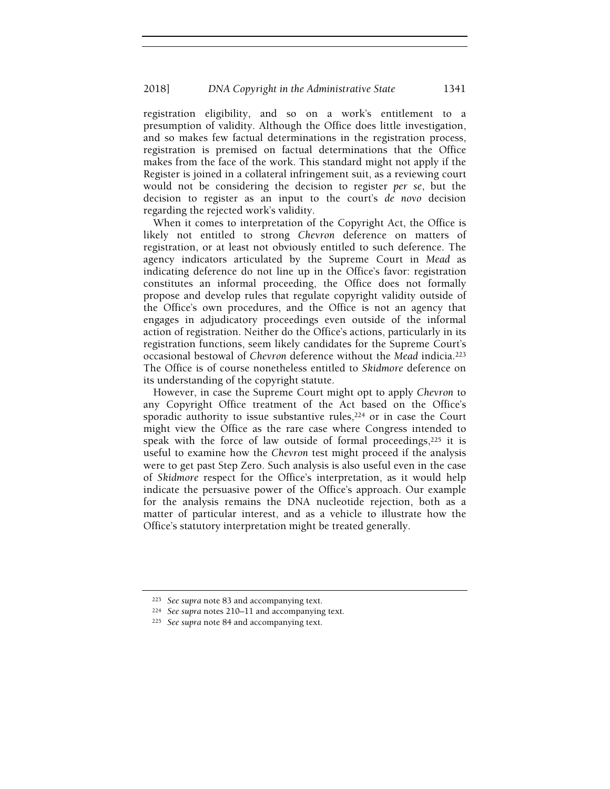registration eligibility, and so on a work's entitlement to a presumption of validity. Although the Office does little investigation, and so makes few factual determinations in the registration process, registration is premised on factual determinations that the Office makes from the face of the work. This standard might not apply if the Register is joined in a collateral infringement suit, as a reviewing court would not be considering the decision to register *per se*, but the decision to register as an input to the court's de novo decision regarding the rejected work's validity.

When it comes to interpretation of the Copyright Act, the Office is likely not entitled to strong Chevron deference on matters of registration, or at least not obviously entitled to such deference. The agency indicators articulated by the Supreme Court in Mead as indicating deference do not line up in the Office's favor: registration constitutes an informal proceeding, the Office does not formally propose and develop rules that regulate copyright validity outside of the Office's own procedures, and the Office is not an agency that engages in adjudicatory proceedings even outside of the informal action of registration. Neither do the Office's actions, particularly in its registration functions, seem likely candidates for the Supreme Court's occasional bestowal of Chevron deference without the Mead indicia.<sup>223</sup> The Office is of course nonetheless entitled to Skidmore deference on its understanding of the copyright statute.

However, in case the Supreme Court might opt to apply Chevron to any Copyright Office treatment of the Act based on the Office's sporadic authority to issue substantive rules,<sup>224</sup> or in case the Court might view the Office as the rare case where Congress intended to speak with the force of law outside of formal proceedings,  $2^{25}$  it is useful to examine how the Chevron test might proceed if the analysis were to get past Step Zero. Such analysis is also useful even in the case of Skidmore respect for the Office's interpretation, as it would help indicate the persuasive power of the Office's approach. Our example for the analysis remains the DNA nucleotide rejection, both as a matter of particular interest, and as a vehicle to illustrate how the Office's statutory interpretation might be treated generally.

<sup>223</sup> See supra note 83 and accompanying text.

<sup>224</sup> See supra notes 210–11 and accompanying text.

<sup>225</sup> See supra note 84 and accompanying text.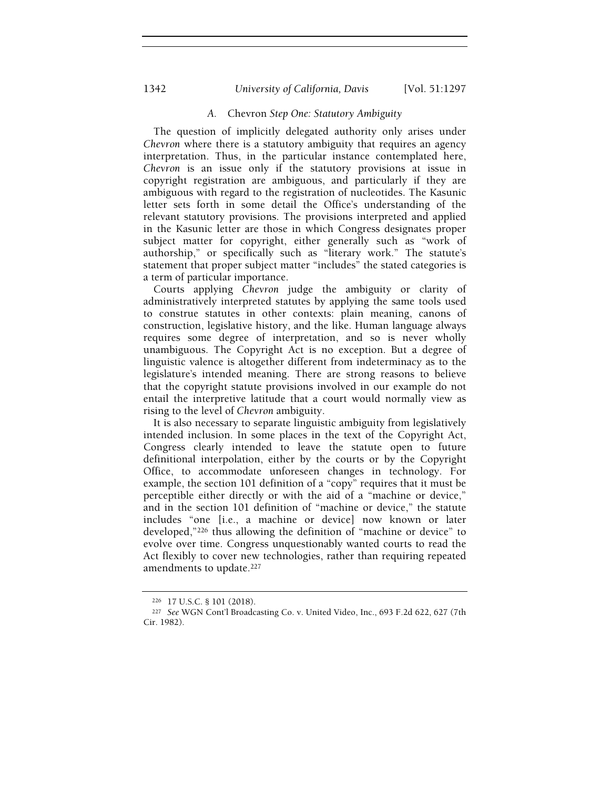# 1342 *University of California, Davis* [Vol. 51:1297

# A. Chevron Step One: Statutory Ambiguity

The question of implicitly delegated authority only arises under Chevron where there is a statutory ambiguity that requires an agency interpretation. Thus, in the particular instance contemplated here, Chevron is an issue only if the statutory provisions at issue in copyright registration are ambiguous, and particularly if they are ambiguous with regard to the registration of nucleotides. The Kasunic letter sets forth in some detail the Office's understanding of the relevant statutory provisions. The provisions interpreted and applied in the Kasunic letter are those in which Congress designates proper subject matter for copyright, either generally such as "work of authorship," or specifically such as "literary work." The statute's statement that proper subject matter "includes" the stated categories is a term of particular importance.

Courts applying Chevron judge the ambiguity or clarity of administratively interpreted statutes by applying the same tools used to construe statutes in other contexts: plain meaning, canons of construction, legislative history, and the like. Human language always requires some degree of interpretation, and so is never wholly unambiguous. The Copyright Act is no exception. But a degree of linguistic valence is altogether different from indeterminacy as to the legislature's intended meaning. There are strong reasons to believe that the copyright statute provisions involved in our example do not entail the interpretive latitude that a court would normally view as rising to the level of Chevron ambiguity.

It is also necessary to separate linguistic ambiguity from legislatively intended inclusion. In some places in the text of the Copyright Act, Congress clearly intended to leave the statute open to future definitional interpolation, either by the courts or by the Copyright Office, to accommodate unforeseen changes in technology. For example, the section 101 definition of a "copy" requires that it must be perceptible either directly or with the aid of a "machine or device," and in the section 101 definition of "machine or device," the statute includes "one [i.e., a machine or device] now known or later developed,"226 thus allowing the definition of "machine or device" to evolve over time. Congress unquestionably wanted courts to read the Act flexibly to cover new technologies, rather than requiring repeated amendments to update.<sup>227</sup>

<sup>226</sup> 17 U.S.C. § 101 (2018).

<sup>227</sup> See WGN Cont'l Broadcasting Co. v. United Video, Inc., 693 F.2d 622, 627 (7th Cir. 1982).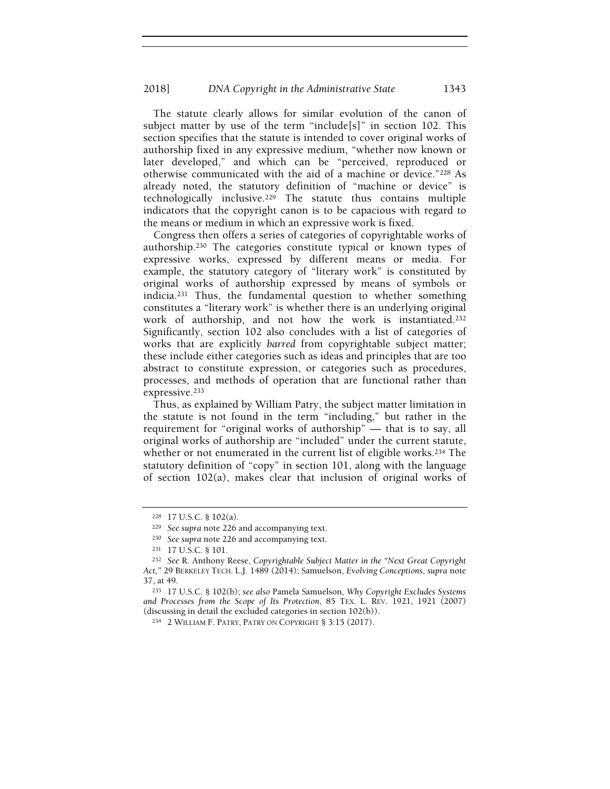The statute clearly allows for similar evolution of the canon of subject matter by use of the term "include[s]" in section 102. This section specifies that the statute is intended to cover original works of authorship fixed in any expressive medium, "whether now known or later developed," and which can be "perceived, reproduced or otherwise communicated with the aid of a machine or device."228 As already noted, the statutory definition of "machine or device" is technologically inclusive.229 The statute thus contains multiple indicators that the copyright canon is to be capacious with regard to the means or medium in which an expressive work is fixed.

Congress then offers a series of categories of copyrightable works of authorship.230 The categories constitute typical or known types of expressive works, expressed by different means or media. For example, the statutory category of "literary work" is constituted by original works of authorship expressed by means of symbols or indicia.231 Thus, the fundamental question to whether something constitutes a "literary work" is whether there is an underlying original work of authorship, and not how the work is instantiated.<sup>232</sup> Significantly, section 102 also concludes with a list of categories of works that are explicitly barred from copyrightable subject matter; these include either categories such as ideas and principles that are too abstract to constitute expression, or categories such as procedures, processes, and methods of operation that are functional rather than expressive.<sup>233</sup>

Thus, as explained by William Patry, the subject matter limitation in the statute is not found in the term "including," but rather in the requirement for "original works of authorship" — that is to say, all original works of authorship are "included" under the current statute, whether or not enumerated in the current list of eligible works.<sup>234</sup> The statutory definition of "copy" in section 101, along with the language of section 102(a), makes clear that inclusion of original works of

<sup>228</sup> 17 U.S.C. § 102(a).

<sup>229</sup> See supra note 226 and accompanying text.

<sup>230</sup> See supra note 226 and accompanying text.

<sup>231</sup> 17 U.S.C. § 101.

<sup>232</sup> See R. Anthony Reese, Copyrightable Subject Matter in the "Next Great Copyright Act," 29 BERKELEY TECH. L.J. 1489 (2014); Samuelson, Evolving Conceptions, supra note 37, at 49.

<sup>233</sup> 17 U.S.C. § 102(b); see also Pamela Samuelson, Why Copyright Excludes Systems and Processes from the Scope of Its Protection, 85 TEX. L. REV. 1921, 1921 (2007) (discussing in detail the excluded categories in section 102(b)).

<sup>234</sup> 2 WILLIAM F. PATRY, PATRY ON COPYRIGHT § 3:15 (2017).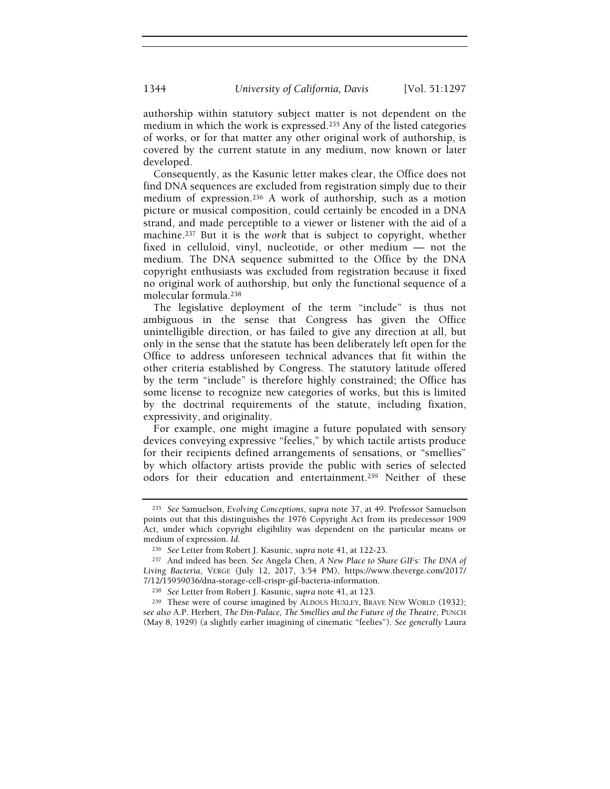authorship within statutory subject matter is not dependent on the medium in which the work is expressed.235 Any of the listed categories of works, or for that matter any other original work of authorship, is covered by the current statute in any medium, now known or later developed.

Consequently, as the Kasunic letter makes clear, the Office does not find DNA sequences are excluded from registration simply due to their medium of expression.236 A work of authorship, such as a motion picture or musical composition, could certainly be encoded in a DNA strand, and made perceptible to a viewer or listener with the aid of a machine.237 But it is the work that is subject to copyright, whether fixed in celluloid, vinyl, nucleotide, or other medium — not the medium. The DNA sequence submitted to the Office by the DNA copyright enthusiasts was excluded from registration because it fixed no original work of authorship, but only the functional sequence of a molecular formula.<sup>238</sup>

The legislative deployment of the term "include" is thus not ambiguous in the sense that Congress has given the Office unintelligible direction, or has failed to give any direction at all, but only in the sense that the statute has been deliberately left open for the Office to address unforeseen technical advances that fit within the other criteria established by Congress. The statutory latitude offered by the term "include" is therefore highly constrained; the Office has some license to recognize new categories of works, but this is limited by the doctrinal requirements of the statute, including fixation, expressivity, and originality.

For example, one might imagine a future populated with sensory devices conveying expressive "feelies," by which tactile artists produce for their recipients defined arrangements of sensations, or "smellies" by which olfactory artists provide the public with series of selected odors for their education and entertainment.239 Neither of these

<sup>235</sup> See Samuelson, Evolving Conceptions, supra note 37, at 49. Professor Samuelson points out that this distinguishes the 1976 Copyright Act from its predecessor 1909 Act, under which copyright eligibility was dependent on the particular means or medium of expression. Id.

<sup>236</sup> See Letter from Robert J. Kasunic, supra note 41, at 122-23.

<sup>237</sup> And indeed has been. See Angela Chen, A New Place to Share GIFs: The DNA of Living Bacteria, VERGE (July 12, 2017, 3:54 PM), https://www.theverge.com/2017/ 7/12/15959036/dna-storage-cell-crispr-gif-bacteria-information.

<sup>238</sup> See Letter from Robert J. Kasunic, supra note 41, at 123.

<sup>239</sup> These were of course imagined by ALDOUS HUXLEY, BRAVE NEW WORLD (1932); see also A.P. Herbert, The Din-Palace, The Smellies and the Future of the Theatre, PUNCH (May 8, 1929) (a slightly earlier imagining of cinematic "feelies"). See generally Laura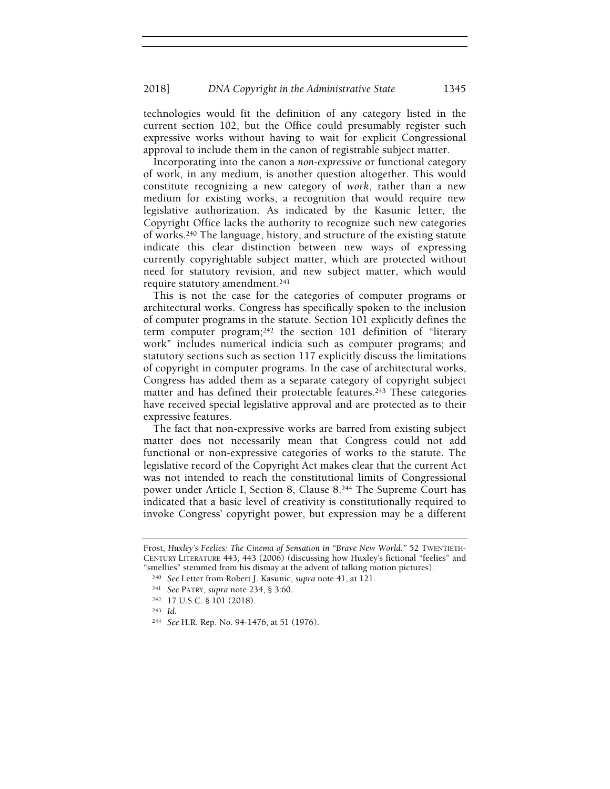technologies would fit the definition of any category listed in the current section 102, but the Office could presumably register such expressive works without having to wait for explicit Congressional approval to include them in the canon of registrable subject matter.

Incorporating into the canon a non-expressive or functional category of work, in any medium, is another question altogether. This would constitute recognizing a new category of work, rather than a new medium for existing works, a recognition that would require new legislative authorization. As indicated by the Kasunic letter, the Copyright Office lacks the authority to recognize such new categories of works.240 The language, history, and structure of the existing statute indicate this clear distinction between new ways of expressing currently copyrightable subject matter, which are protected without need for statutory revision, and new subject matter, which would require statutory amendment.<sup>241</sup>

This is not the case for the categories of computer programs or architectural works. Congress has specifically spoken to the inclusion of computer programs in the statute. Section 101 explicitly defines the term computer program;242 the section 101 definition of "literary work" includes numerical indicia such as computer programs; and statutory sections such as section 117 explicitly discuss the limitations of copyright in computer programs. In the case of architectural works, Congress has added them as a separate category of copyright subject matter and has defined their protectable features.<sup>243</sup> These categories have received special legislative approval and are protected as to their expressive features.

The fact that non-expressive works are barred from existing subject matter does not necessarily mean that Congress could not add functional or non-expressive categories of works to the statute. The legislative record of the Copyright Act makes clear that the current Act was not intended to reach the constitutional limits of Congressional power under Article I, Section 8, Clause 8.244 The Supreme Court has indicated that a basic level of creativity is constitutionally required to invoke Congress' copyright power, but expression may be a different

Frost, Huxley's Feelies: The Cinema of Sensation in "Brave New World," 52 TWENTIETH-CENTURY LITERATURE 443, 443 (2006) (discussing how Huxley's fictional "feelies" and "smellies" stemmed from his dismay at the advent of talking motion pictures).

<sup>240</sup> See Letter from Robert J. Kasunic, supra note 41, at 121.

<sup>241</sup> See PATRY, supra note 234, § 3:60.

<sup>242</sup> 17 U.S.C. § 101 (2018).

<sup>243</sup> Id.

<sup>244</sup> See H.R. Rep. No. 94-1476, at 51 (1976).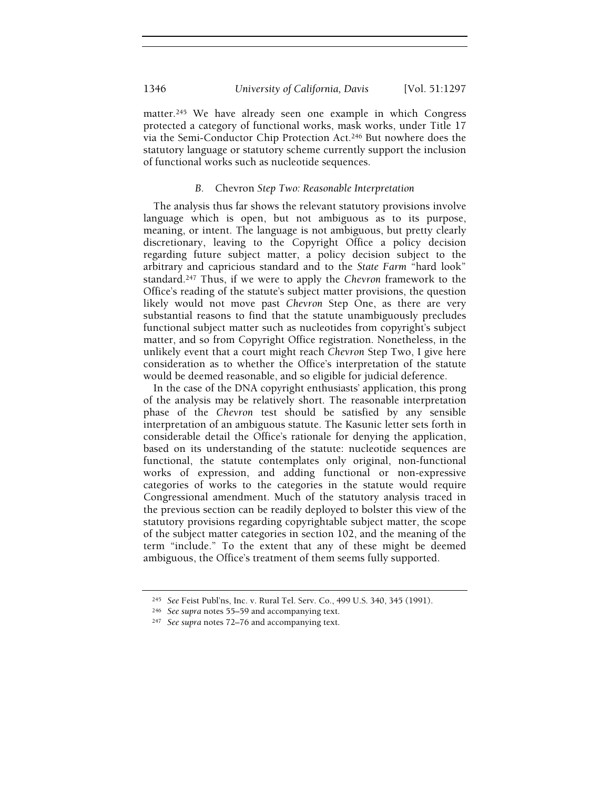matter.245 We have already seen one example in which Congress protected a category of functional works, mask works, under Title 17 via the Semi-Conductor Chip Protection Act.246 But nowhere does the statutory language or statutory scheme currently support the inclusion of functional works such as nucleotide sequences.

# B. Chevron Step Two: Reasonable Interpretation

The analysis thus far shows the relevant statutory provisions involve language which is open, but not ambiguous as to its purpose, meaning, or intent. The language is not ambiguous, but pretty clearly discretionary, leaving to the Copyright Office a policy decision regarding future subject matter, a policy decision subject to the arbitrary and capricious standard and to the State Farm "hard look" standard.247 Thus, if we were to apply the Chevron framework to the Office's reading of the statute's subject matter provisions, the question likely would not move past Chevron Step One, as there are very substantial reasons to find that the statute unambiguously precludes functional subject matter such as nucleotides from copyright's subject matter, and so from Copyright Office registration. Nonetheless, in the unlikely event that a court might reach Chevron Step Two, I give here consideration as to whether the Office's interpretation of the statute would be deemed reasonable, and so eligible for judicial deference.

In the case of the DNA copyright enthusiasts' application, this prong of the analysis may be relatively short. The reasonable interpretation phase of the Chevron test should be satisfied by any sensible interpretation of an ambiguous statute. The Kasunic letter sets forth in considerable detail the Office's rationale for denying the application, based on its understanding of the statute: nucleotide sequences are functional, the statute contemplates only original, non-functional works of expression, and adding functional or non-expressive categories of works to the categories in the statute would require Congressional amendment. Much of the statutory analysis traced in the previous section can be readily deployed to bolster this view of the statutory provisions regarding copyrightable subject matter, the scope of the subject matter categories in section 102, and the meaning of the term "include." To the extent that any of these might be deemed ambiguous, the Office's treatment of them seems fully supported.

<sup>245</sup> See Feist Publ'ns, Inc. v. Rural Tel. Serv. Co., 499 U.S. 340, 345 (1991).

<sup>246</sup> See supra notes 55–59 and accompanying text.

<sup>247</sup> See supra notes 72–76 and accompanying text.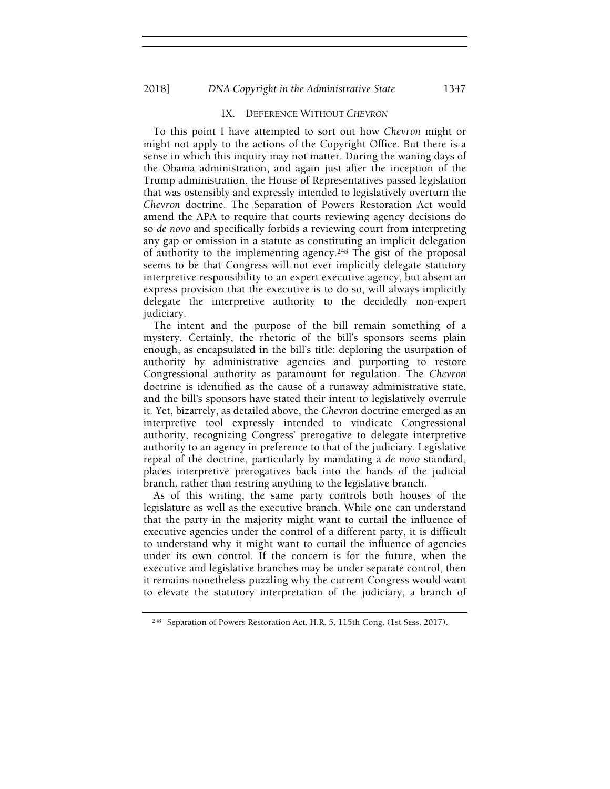#### 2018] DNA Copyright in the Administrative State 1347

## IX. DEFERENCE WITHOUT CHEVRON

To this point I have attempted to sort out how Chevron might or might not apply to the actions of the Copyright Office. But there is a sense in which this inquiry may not matter. During the waning days of the Obama administration, and again just after the inception of the Trump administration, the House of Representatives passed legislation that was ostensibly and expressly intended to legislatively overturn the Chevron doctrine. The Separation of Powers Restoration Act would amend the APA to require that courts reviewing agency decisions do so de novo and specifically forbids a reviewing court from interpreting any gap or omission in a statute as constituting an implicit delegation of authority to the implementing agency.248 The gist of the proposal seems to be that Congress will not ever implicitly delegate statutory interpretive responsibility to an expert executive agency, but absent an express provision that the executive is to do so, will always implicitly delegate the interpretive authority to the decidedly non-expert judiciary.

The intent and the purpose of the bill remain something of a mystery. Certainly, the rhetoric of the bill's sponsors seems plain enough, as encapsulated in the bill's title: deploring the usurpation of authority by administrative agencies and purporting to restore Congressional authority as paramount for regulation. The Chevron doctrine is identified as the cause of a runaway administrative state, and the bill's sponsors have stated their intent to legislatively overrule it. Yet, bizarrely, as detailed above, the Chevron doctrine emerged as an interpretive tool expressly intended to vindicate Congressional authority, recognizing Congress' prerogative to delegate interpretive authority to an agency in preference to that of the judiciary. Legislative repeal of the doctrine, particularly by mandating a de novo standard, places interpretive prerogatives back into the hands of the judicial branch, rather than restring anything to the legislative branch.

As of this writing, the same party controls both houses of the legislature as well as the executive branch. While one can understand that the party in the majority might want to curtail the influence of executive agencies under the control of a different party, it is difficult to understand why it might want to curtail the influence of agencies under its own control. If the concern is for the future, when the executive and legislative branches may be under separate control, then it remains nonetheless puzzling why the current Congress would want to elevate the statutory interpretation of the judiciary, a branch of

<sup>248</sup> Separation of Powers Restoration Act, H.R. 5, 115th Cong. (1st Sess. 2017).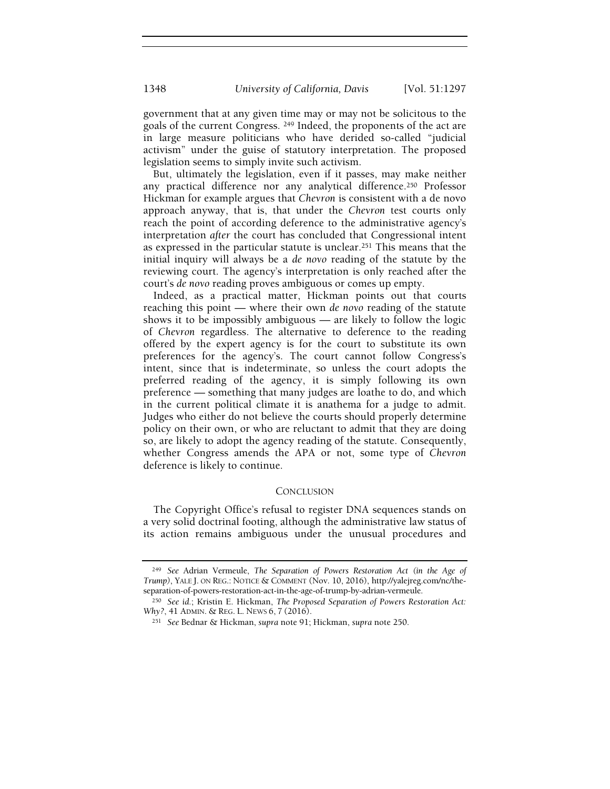government that at any given time may or may not be solicitous to the goals of the current Congress. 249 Indeed, the proponents of the act are in large measure politicians who have derided so-called "judicial activism" under the guise of statutory interpretation. The proposed legislation seems to simply invite such activism.

But, ultimately the legislation, even if it passes, may make neither any practical difference nor any analytical difference.250 Professor Hickman for example argues that Chevron is consistent with a de novo approach anyway, that is, that under the Chevron test courts only reach the point of according deference to the administrative agency's interpretation after the court has concluded that Congressional intent as expressed in the particular statute is unclear.251 This means that the initial inquiry will always be a de novo reading of the statute by the reviewing court. The agency's interpretation is only reached after the court's de novo reading proves ambiguous or comes up empty.

Indeed, as a practical matter, Hickman points out that courts reaching this point — where their own de novo reading of the statute shows it to be impossibly ambiguous — are likely to follow the logic of Chevron regardless. The alternative to deference to the reading offered by the expert agency is for the court to substitute its own preferences for the agency's. The court cannot follow Congress's intent, since that is indeterminate, so unless the court adopts the preferred reading of the agency, it is simply following its own preference — something that many judges are loathe to do, and which in the current political climate it is anathema for a judge to admit. Judges who either do not believe the courts should properly determine policy on their own, or who are reluctant to admit that they are doing so, are likely to adopt the agency reading of the statute. Consequently, whether Congress amends the APA or not, some type of Chevron deference is likely to continue.

## **CONCLUSION**

The Copyright Office's refusal to register DNA sequences stands on a very solid doctrinal footing, although the administrative law status of its action remains ambiguous under the unusual procedures and

<sup>&</sup>lt;sup>249</sup> See Adrian Vermeule, The Separation of Powers Restoration Act (in the Age of Trump), YALE J. ON REG.: NOTICE & COMMENT (Nov. 10, 2016), http://yalejreg.com/nc/theseparation-of-powers-restoration-act-in-the-age-of-trump-by-adrian-vermeule.

<sup>250</sup> See id.; Kristin E. Hickman, The Proposed Separation of Powers Restoration Act: Why?, 41 ADMIN. & REG. L. NEWS 6, 7 (2016).

<sup>251</sup> See Bednar & Hickman, supra note 91; Hickman, supra note 250.